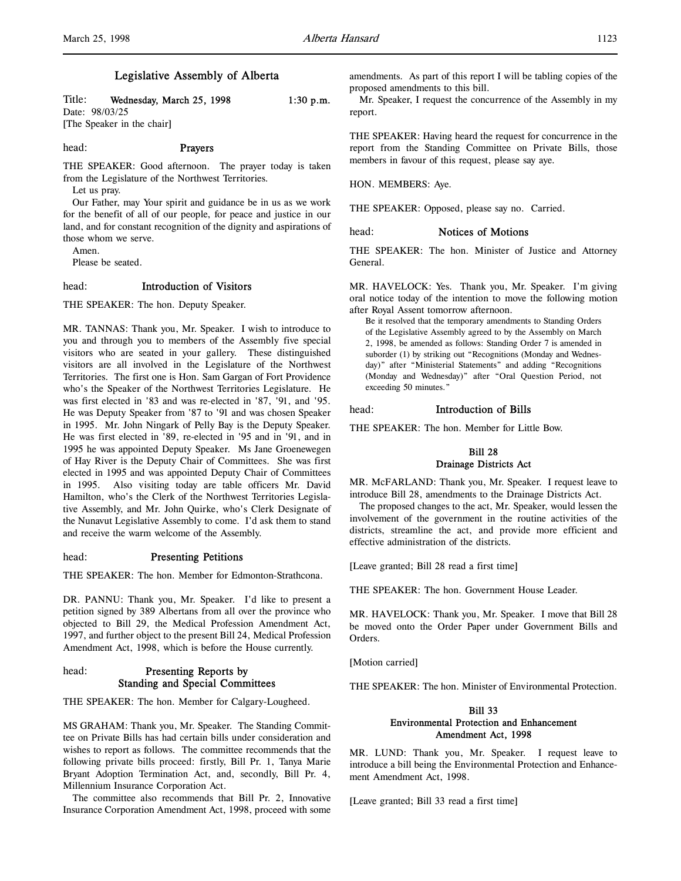# Legislative Assembly of Alberta

Title: Wednesday, March 25, 1998 1:30 p.m. Date: 98/03/25 [The Speaker in the chair]

head: Prayers

THE SPEAKER: Good afternoon. The prayer today is taken from the Legislature of the Northwest Territories.

Let us pray.

Our Father, may Your spirit and guidance be in us as we work for the benefit of all of our people, for peace and justice in our land, and for constant recognition of the dignity and aspirations of those whom we serve.

Amen.

Please be seated.

# head: Introduction of Visitors

THE SPEAKER: The hon. Deputy Speaker.

MR. TANNAS: Thank you, Mr. Speaker. I wish to introduce to you and through you to members of the Assembly five special visitors who are seated in your gallery. These distinguished visitors are all involved in the Legislature of the Northwest Territories. The first one is Hon. Sam Gargan of Fort Providence who's the Speaker of the Northwest Territories Legislature. He was first elected in '83 and was re-elected in '87, '91, and '95. He was Deputy Speaker from '87 to '91 and was chosen Speaker in 1995. Mr. John Ningark of Pelly Bay is the Deputy Speaker. He was first elected in '89, re-elected in '95 and in '91, and in 1995 he was appointed Deputy Speaker. Ms Jane Groenewegen of Hay River is the Deputy Chair of Committees. She was first elected in 1995 and was appointed Deputy Chair of Committees in 1995. Also visiting today are table officers Mr. David Hamilton, who's the Clerk of the Northwest Territories Legislative Assembly, and Mr. John Quirke, who's Clerk Designate of the Nunavut Legislative Assembly to come. I'd ask them to stand and receive the warm welcome of the Assembly.

## head: Presenting Petitions

THE SPEAKER: The hon. Member for Edmonton-Strathcona.

DR. PANNU: Thank you, Mr. Speaker. I'd like to present a petition signed by 389 Albertans from all over the province who objected to Bill 29, the Medical Profession Amendment Act, 1997, and further object to the present Bill 24, Medical Profession Amendment Act, 1998, which is before the House currently.

# head: Presenting Reports by Standing and Special Committees

THE SPEAKER: The hon. Member for Calgary-Lougheed.

MS GRAHAM: Thank you, Mr. Speaker. The Standing Committee on Private Bills has had certain bills under consideration and wishes to report as follows. The committee recommends that the following private bills proceed: firstly, Bill Pr. 1, Tanya Marie Bryant Adoption Termination Act, and, secondly, Bill Pr. 4, Millennium Insurance Corporation Act.

The committee also recommends that Bill Pr. 2, Innovative Insurance Corporation Amendment Act, 1998, proceed with some

amendments. As part of this report I will be tabling copies of the proposed amendments to this bill.

Mr. Speaker, I request the concurrence of the Assembly in my report.

THE SPEAKER: Having heard the request for concurrence in the report from the Standing Committee on Private Bills, those members in favour of this request, please say aye.

HON. MEMBERS: Aye.

THE SPEAKER: Opposed, please say no. Carried.

## head: Notices of Motions

THE SPEAKER: The hon. Minister of Justice and Attorney General.

MR. HAVELOCK: Yes. Thank you, Mr. Speaker. I'm giving oral notice today of the intention to move the following motion after Royal Assent tomorrow afternoon.

Be it resolved that the temporary amendments to Standing Orders of the Legislative Assembly agreed to by the Assembly on March 2, 1998, be amended as follows: Standing Order 7 is amended in suborder (1) by striking out "Recognitions (Monday and Wednesday)" after "Ministerial Statements" and adding "Recognitions (Monday and Wednesday)" after "Oral Question Period, not exceeding 50 minutes."

# head: Introduction of Bills

THE SPEAKER: The hon. Member for Little Bow.

# Bill 28 Drainage Districts Act

MR. McFARLAND: Thank you, Mr. Speaker. I request leave to introduce Bill 28, amendments to the Drainage Districts Act.

The proposed changes to the act, Mr. Speaker, would lessen the involvement of the government in the routine activities of the districts, streamline the act, and provide more efficient and effective administration of the districts.

[Leave granted; Bill 28 read a first time]

THE SPEAKER: The hon. Government House Leader.

MR. HAVELOCK: Thank you, Mr. Speaker. I move that Bill 28 be moved onto the Order Paper under Government Bills and Orders.

[Motion carried]

THE SPEAKER: The hon. Minister of Environmental Protection.

# Bill 33 Environmental Protection and Enhancement Amendment Act, 1998

MR. LUND: Thank you, Mr. Speaker. I request leave to introduce a bill being the Environmental Protection and Enhancement Amendment Act, 1998.

[Leave granted; Bill 33 read a first time]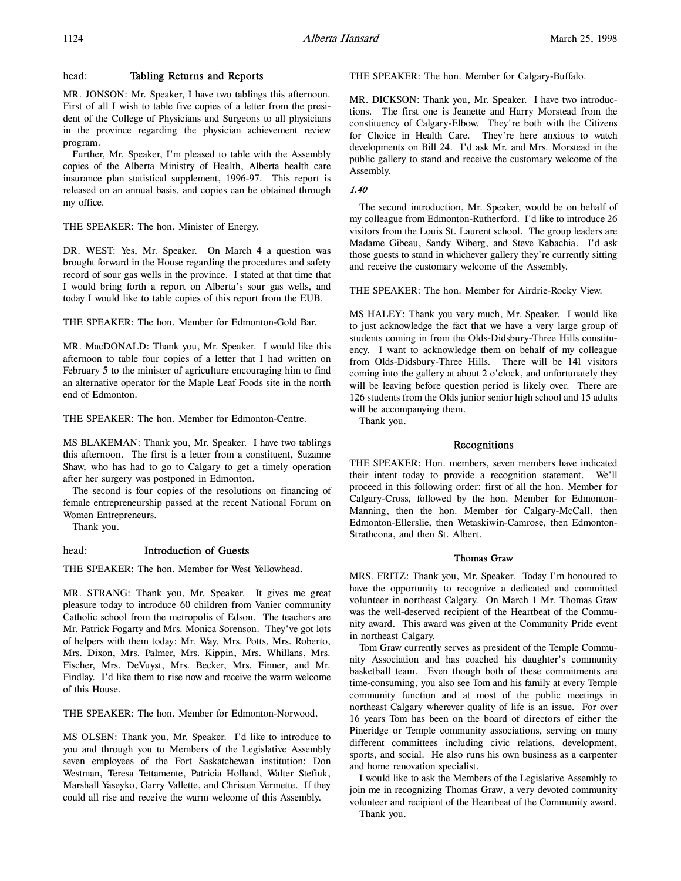# head: Tabling Returns and Reports

MR. JONSON: Mr. Speaker, I have two tablings this afternoon. First of all I wish to table five copies of a letter from the president of the College of Physicians and Surgeons to all physicians in the province regarding the physician achievement review program.

Further, Mr. Speaker, I'm pleased to table with the Assembly copies of the Alberta Ministry of Health, Alberta health care insurance plan statistical supplement, 1996-97. This report is released on an annual basis, and copies can be obtained through my office.

THE SPEAKER: The hon. Minister of Energy.

DR. WEST: Yes, Mr. Speaker. On March 4 a question was brought forward in the House regarding the procedures and safety record of sour gas wells in the province. I stated at that time that I would bring forth a report on Alberta's sour gas wells, and today I would like to table copies of this report from the EUB.

THE SPEAKER: The hon. Member for Edmonton-Gold Bar.

MR. MacDONALD: Thank you, Mr. Speaker. I would like this afternoon to table four copies of a letter that I had written on February 5 to the minister of agriculture encouraging him to find an alternative operator for the Maple Leaf Foods site in the north end of Edmonton.

THE SPEAKER: The hon. Member for Edmonton-Centre.

MS BLAKEMAN: Thank you, Mr. Speaker. I have two tablings this afternoon. The first is a letter from a constituent, Suzanne Shaw, who has had to go to Calgary to get a timely operation after her surgery was postponed in Edmonton.

The second is four copies of the resolutions on financing of female entrepreneurship passed at the recent National Forum on Women Entrepreneurs.

Thank you.

## head: Introduction of Guests

THE SPEAKER: The hon. Member for West Yellowhead.

MR. STRANG: Thank you, Mr. Speaker. It gives me great pleasure today to introduce 60 children from Vanier community Catholic school from the metropolis of Edson. The teachers are Mr. Patrick Fogarty and Mrs. Monica Sorenson. They've got lots of helpers with them today: Mr. Way, Mrs. Potts, Mrs. Roberto, Mrs. Dixon, Mrs. Palmer, Mrs. Kippin, Mrs. Whillans, Mrs. Fischer, Mrs. DeVuyst, Mrs. Becker, Mrs. Finner, and Mr. Findlay. I'd like them to rise now and receive the warm welcome of this House.

THE SPEAKER: The hon. Member for Edmonton-Norwood.

MS OLSEN: Thank you, Mr. Speaker. I'd like to introduce to you and through you to Members of the Legislative Assembly seven employees of the Fort Saskatchewan institution: Don Westman, Teresa Tettamente, Patricia Holland, Walter Stefiuk, Marshall Yaseyko, Garry Vallette, and Christen Vermette. If they could all rise and receive the warm welcome of this Assembly.

THE SPEAKER: The hon. Member for Calgary-Buffalo.

MR. DICKSON: Thank you, Mr. Speaker. I have two introductions. The first one is Jeanette and Harry Morstead from the constituency of Calgary-Elbow. They're both with the Citizens for Choice in Health Care. They're here anxious to watch developments on Bill 24. I'd ask Mr. and Mrs. Morstead in the public gallery to stand and receive the customary welcome of the Assembly.

## 1.40

The second introduction, Mr. Speaker, would be on behalf of my colleague from Edmonton-Rutherford. I'd like to introduce 26 visitors from the Louis St. Laurent school. The group leaders are Madame Gibeau, Sandy Wiberg, and Steve Kabachia. I'd ask those guests to stand in whichever gallery they're currently sitting and receive the customary welcome of the Assembly.

THE SPEAKER: The hon. Member for Airdrie-Rocky View.

MS HALEY: Thank you very much, Mr. Speaker. I would like to just acknowledge the fact that we have a very large group of students coming in from the Olds-Didsbury-Three Hills constituency. I want to acknowledge them on behalf of my colleague from Olds-Didsbury-Three Hills. There will be 141 visitors coming into the gallery at about 2 o'clock, and unfortunately they will be leaving before question period is likely over. There are 126 students from the Olds junior senior high school and 15 adults will be accompanying them.

Thank you.

## Recognitions

THE SPEAKER: Hon. members, seven members have indicated their intent today to provide a recognition statement. We'll proceed in this following order: first of all the hon. Member for Calgary-Cross, followed by the hon. Member for Edmonton-Manning, then the hon. Member for Calgary-McCall, then Edmonton-Ellerslie, then Wetaskiwin-Camrose, then Edmonton-Strathcona, and then St. Albert.

## Thomas Graw

MRS. FRITZ: Thank you, Mr. Speaker. Today I'm honoured to have the opportunity to recognize a dedicated and committed volunteer in northeast Calgary. On March 1 Mr. Thomas Graw was the well-deserved recipient of the Heartbeat of the Community award. This award was given at the Community Pride event in northeast Calgary.

Tom Graw currently serves as president of the Temple Community Association and has coached his daughter's community basketball team. Even though both of these commitments are time-consuming, you also see Tom and his family at every Temple community function and at most of the public meetings in northeast Calgary wherever quality of life is an issue. For over 16 years Tom has been on the board of directors of either the Pineridge or Temple community associations, serving on many different committees including civic relations, development, sports, and social. He also runs his own business as a carpenter and home renovation specialist.

I would like to ask the Members of the Legislative Assembly to join me in recognizing Thomas Graw, a very devoted community volunteer and recipient of the Heartbeat of the Community award. Thank you.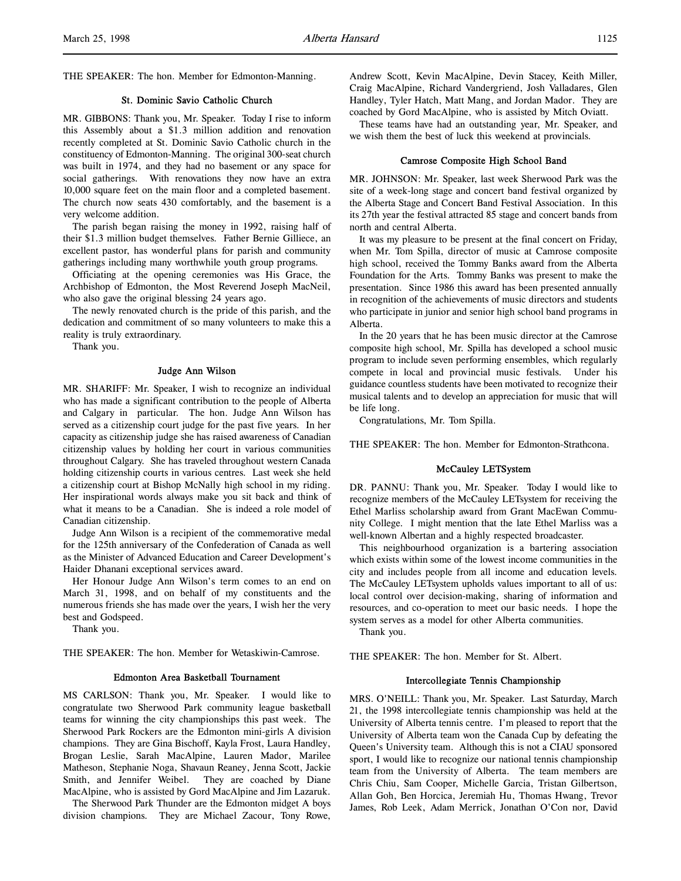THE SPEAKER: The hon. Member for Edmonton-Manning.

# St. Dominic Savio Catholic Church

MR. GIBBONS: Thank you, Mr. Speaker. Today I rise to inform this Assembly about a \$1.3 million addition and renovation recently completed at St. Dominic Savio Catholic church in the constituency of Edmonton-Manning. The original 300-seat church was built in 1974, and they had no basement or any space for social gatherings. With renovations they now have an extra 10,000 square feet on the main floor and a completed basement. The church now seats 430 comfortably, and the basement is a very welcome addition.

The parish began raising the money in 1992, raising half of their \$1.3 million budget themselves. Father Bernie Gilliece, an excellent pastor, has wonderful plans for parish and community gatherings including many worthwhile youth group programs.

Officiating at the opening ceremonies was His Grace, the Archbishop of Edmonton, the Most Reverend Joseph MacNeil, who also gave the original blessing 24 years ago.

The newly renovated church is the pride of this parish, and the dedication and commitment of so many volunteers to make this a reality is truly extraordinary.

Thank you.

## Judge Ann Wilson

MR. SHARIFF: Mr. Speaker, I wish to recognize an individual who has made a significant contribution to the people of Alberta and Calgary in particular. The hon. Judge Ann Wilson has served as a citizenship court judge for the past five years. In her capacity as citizenship judge she has raised awareness of Canadian citizenship values by holding her court in various communities throughout Calgary. She has traveled throughout western Canada holding citizenship courts in various centres. Last week she held a citizenship court at Bishop McNally high school in my riding. Her inspirational words always make you sit back and think of what it means to be a Canadian. She is indeed a role model of Canadian citizenship.

Judge Ann Wilson is a recipient of the commemorative medal for the 125th anniversary of the Confederation of Canada as well as the Minister of Advanced Education and Career Development's Haider Dhanani exceptional services award.

Her Honour Judge Ann Wilson's term comes to an end on March 31, 1998, and on behalf of my constituents and the numerous friends she has made over the years, I wish her the very best and Godspeed.

Thank you.

THE SPEAKER: The hon. Member for Wetaskiwin-Camrose.

# Edmonton Area Basketball Tournament

MS CARLSON: Thank you, Mr. Speaker. I would like to congratulate two Sherwood Park community league basketball teams for winning the city championships this past week. The Sherwood Park Rockers are the Edmonton mini-girls A division champions. They are Gina Bischoff, Kayla Frost, Laura Handley, Brogan Leslie, Sarah MacAlpine, Lauren Mador, Marilee Matheson, Stephanie Noga, Shavaun Reaney, Jenna Scott, Jackie Smith, and Jennifer Weibel. They are coached by Diane MacAlpine, who is assisted by Gord MacAlpine and Jim Lazaruk.

The Sherwood Park Thunder are the Edmonton midget A boys division champions. They are Michael Zacour, Tony Rowe,

Andrew Scott, Kevin MacAlpine, Devin Stacey, Keith Miller, Craig MacAlpine, Richard Vandergriend, Josh Valladares, Glen Handley, Tyler Hatch, Matt Mang, and Jordan Mador. They are coached by Gord MacAlpine, who is assisted by Mitch Oviatt.

These teams have had an outstanding year, Mr. Speaker, and we wish them the best of luck this weekend at provincials.

# Camrose Composite High School Band

MR. JOHNSON: Mr. Speaker, last week Sherwood Park was the site of a week-long stage and concert band festival organized by the Alberta Stage and Concert Band Festival Association. In this its 27th year the festival attracted 85 stage and concert bands from north and central Alberta.

It was my pleasure to be present at the final concert on Friday, when Mr. Tom Spilla, director of music at Camrose composite high school, received the Tommy Banks award from the Alberta Foundation for the Arts. Tommy Banks was present to make the presentation. Since 1986 this award has been presented annually in recognition of the achievements of music directors and students who participate in junior and senior high school band programs in Alberta.

In the 20 years that he has been music director at the Camrose composite high school, Mr. Spilla has developed a school music program to include seven performing ensembles, which regularly compete in local and provincial music festivals. Under his guidance countless students have been motivated to recognize their musical talents and to develop an appreciation for music that will be life long.

Congratulations, Mr. Tom Spilla.

THE SPEAKER: The hon. Member for Edmonton-Strathcona.

#### McCauley LETSystem

DR. PANNU: Thank you, Mr. Speaker. Today I would like to recognize members of the McCauley LETsystem for receiving the Ethel Marliss scholarship award from Grant MacEwan Community College. I might mention that the late Ethel Marliss was a well-known Albertan and a highly respected broadcaster.

This neighbourhood organization is a bartering association which exists within some of the lowest income communities in the city and includes people from all income and education levels. The McCauley LETsystem upholds values important to all of us: local control over decision-making, sharing of information and resources, and co-operation to meet our basic needs. I hope the system serves as a model for other Alberta communities.

Thank you.

THE SPEAKER: The hon. Member for St. Albert.

## Intercollegiate Tennis Championship

MRS. O'NEILL: Thank you, Mr. Speaker. Last Saturday, March 21, the 1998 intercollegiate tennis championship was held at the University of Alberta tennis centre. I'm pleased to report that the University of Alberta team won the Canada Cup by defeating the Queen's University team. Although this is not a CIAU sponsored sport, I would like to recognize our national tennis championship team from the University of Alberta. The team members are Chris Chiu, Sam Cooper, Michelle Garcia, Tristan Gilbertson, Allan Goh, Ben Horcica, Jeremiah Hu, Thomas Hwang, Trevor James, Rob Leek, Adam Merrick, Jonathan O'Con nor, David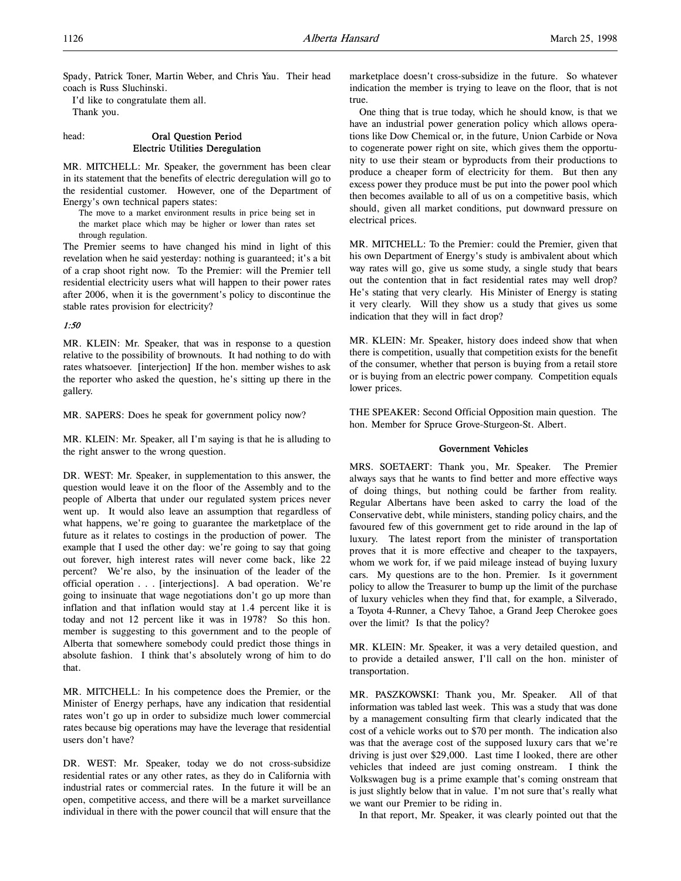Spady, Patrick Toner, Martin Weber, and Chris Yau. Their head coach is Russ Sluchinski.

I'd like to congratulate them all. Thank you.

## head: Oral Question Period Electric Utilities Deregulation

MR. MITCHELL: Mr. Speaker, the government has been clear in its statement that the benefits of electric deregulation will go to the residential customer. However, one of the Department of Energy's own technical papers states:

The move to a market environment results in price being set in the market place which may be higher or lower than rates set through regulation.

The Premier seems to have changed his mind in light of this revelation when he said yesterday: nothing is guaranteed; it's a bit of a crap shoot right now. To the Premier: will the Premier tell residential electricity users what will happen to their power rates after 2006, when it is the government's policy to discontinue the stable rates provision for electricity?

#### 1:50

MR. KLEIN: Mr. Speaker, that was in response to a question relative to the possibility of brownouts. It had nothing to do with rates whatsoever. [interjection] If the hon. member wishes to ask the reporter who asked the question, he's sitting up there in the gallery.

MR. SAPERS: Does he speak for government policy now?

MR. KLEIN: Mr. Speaker, all I'm saying is that he is alluding to the right answer to the wrong question.

DR. WEST: Mr. Speaker, in supplementation to this answer, the question would leave it on the floor of the Assembly and to the people of Alberta that under our regulated system prices never went up. It would also leave an assumption that regardless of what happens, we're going to guarantee the marketplace of the future as it relates to costings in the production of power. The example that I used the other day: we're going to say that going out forever, high interest rates will never come back, like 22 percent? We're also, by the insinuation of the leader of the official operation . . . [interjections]. A bad operation. We're going to insinuate that wage negotiations don't go up more than inflation and that inflation would stay at 1.4 percent like it is today and not 12 percent like it was in 1978? So this hon. member is suggesting to this government and to the people of Alberta that somewhere somebody could predict those things in absolute fashion. I think that's absolutely wrong of him to do that.

MR. MITCHELL: In his competence does the Premier, or the Minister of Energy perhaps, have any indication that residential rates won't go up in order to subsidize much lower commercial rates because big operations may have the leverage that residential users don't have?

DR. WEST: Mr. Speaker, today we do not cross-subsidize residential rates or any other rates, as they do in California with industrial rates or commercial rates. In the future it will be an open, competitive access, and there will be a market surveillance individual in there with the power council that will ensure that the

marketplace doesn't cross-subsidize in the future. So whatever indication the member is trying to leave on the floor, that is not true.

One thing that is true today, which he should know, is that we have an industrial power generation policy which allows operations like Dow Chemical or, in the future, Union Carbide or Nova to cogenerate power right on site, which gives them the opportunity to use their steam or byproducts from their productions to produce a cheaper form of electricity for them. But then any excess power they produce must be put into the power pool which then becomes available to all of us on a competitive basis, which should, given all market conditions, put downward pressure on electrical prices.

MR. MITCHELL: To the Premier: could the Premier, given that his own Department of Energy's study is ambivalent about which way rates will go, give us some study, a single study that bears out the contention that in fact residential rates may well drop? He's stating that very clearly. His Minister of Energy is stating it very clearly. Will they show us a study that gives us some indication that they will in fact drop?

MR. KLEIN: Mr. Speaker, history does indeed show that when there is competition, usually that competition exists for the benefit of the consumer, whether that person is buying from a retail store or is buying from an electric power company. Competition equals lower prices.

THE SPEAKER: Second Official Opposition main question. The hon. Member for Spruce Grove-Sturgeon-St. Albert.

#### Government Vehicles

MRS. SOETAERT: Thank you, Mr. Speaker. The Premier always says that he wants to find better and more effective ways of doing things, but nothing could be farther from reality. Regular Albertans have been asked to carry the load of the Conservative debt, while ministers, standing policy chairs, and the favoured few of this government get to ride around in the lap of luxury. The latest report from the minister of transportation proves that it is more effective and cheaper to the taxpayers, whom we work for, if we paid mileage instead of buying luxury cars. My questions are to the hon. Premier. Is it government policy to allow the Treasurer to bump up the limit of the purchase of luxury vehicles when they find that, for example, a Silverado, a Toyota 4-Runner, a Chevy Tahoe, a Grand Jeep Cherokee goes over the limit? Is that the policy?

MR. KLEIN: Mr. Speaker, it was a very detailed question, and to provide a detailed answer, I'll call on the hon. minister of transportation.

MR. PASZKOWSKI: Thank you, Mr. Speaker. All of that information was tabled last week. This was a study that was done by a management consulting firm that clearly indicated that the cost of a vehicle works out to \$70 per month. The indication also was that the average cost of the supposed luxury cars that we're driving is just over \$29,000. Last time I looked, there are other vehicles that indeed are just coming onstream. I think the Volkswagen bug is a prime example that's coming onstream that is just slightly below that in value. I'm not sure that's really what we want our Premier to be riding in.

In that report, Mr. Speaker, it was clearly pointed out that the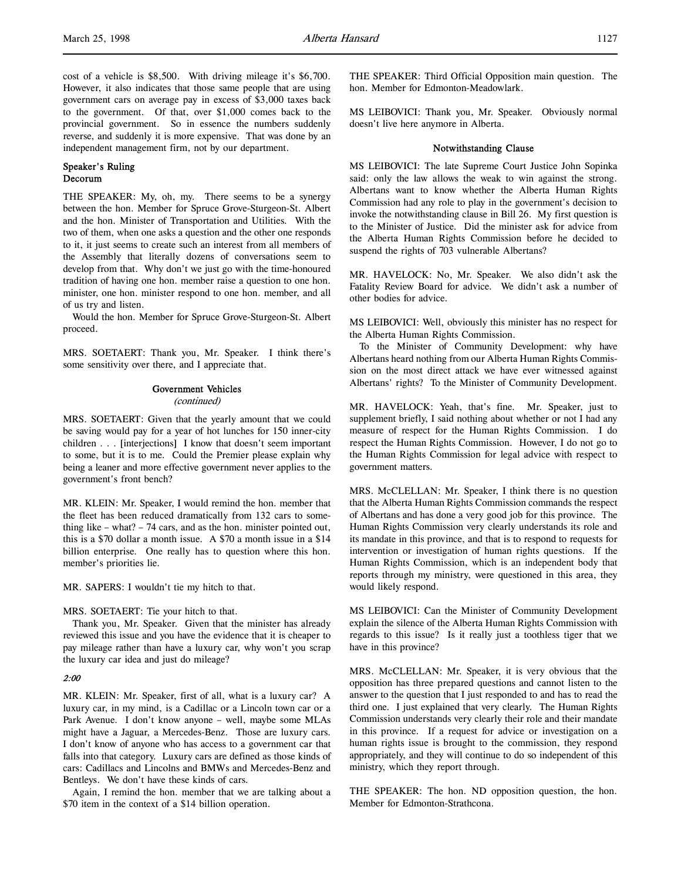cost of a vehicle is \$8,500. With driving mileage it's \$6,700. However, it also indicates that those same people that are using government cars on average pay in excess of \$3,000 taxes back to the government. Of that, over \$1,000 comes back to the provincial government. So in essence the numbers suddenly reverse, and suddenly it is more expensive. That was done by an independent management firm, not by our department.

## Speaker's Ruling Decorum

THE SPEAKER: My, oh, my. There seems to be a synergy between the hon. Member for Spruce Grove-Sturgeon-St. Albert and the hon. Minister of Transportation and Utilities. With the two of them, when one asks a question and the other one responds to it, it just seems to create such an interest from all members of the Assembly that literally dozens of conversations seem to develop from that. Why don't we just go with the time-honoured tradition of having one hon. member raise a question to one hon. minister, one hon. minister respond to one hon. member, and all of us try and listen.

Would the hon. Member for Spruce Grove-Sturgeon-St. Albert proceed.

MRS. SOETAERT: Thank you, Mr. Speaker. I think there's some sensitivity over there, and I appreciate that.

#### Government Vehicles

(continued)

MRS. SOETAERT: Given that the yearly amount that we could be saving would pay for a year of hot lunches for 150 inner-city children . . . [interjections] I know that doesn't seem important to some, but it is to me. Could the Premier please explain why being a leaner and more effective government never applies to the government's front bench?

MR. KLEIN: Mr. Speaker, I would remind the hon. member that the fleet has been reduced dramatically from 132 cars to something like – what? – 74 cars, and as the hon. minister pointed out, this is a \$70 dollar a month issue. A \$70 a month issue in a \$14 billion enterprise. One really has to question where this hon. member's priorities lie.

MR. SAPERS: I wouldn't tie my hitch to that.

MRS. SOETAERT: Tie your hitch to that.

Thank you, Mr. Speaker. Given that the minister has already reviewed this issue and you have the evidence that it is cheaper to pay mileage rather than have a luxury car, why won't you scrap the luxury car idea and just do mileage?

#### 2:00

MR. KLEIN: Mr. Speaker, first of all, what is a luxury car? A luxury car, in my mind, is a Cadillac or a Lincoln town car or a Park Avenue. I don't know anyone – well, maybe some MLAs might have a Jaguar, a Mercedes-Benz. Those are luxury cars. I don't know of anyone who has access to a government car that falls into that category. Luxury cars are defined as those kinds of cars: Cadillacs and Lincolns and BMWs and Mercedes-Benz and Bentleys. We don't have these kinds of cars.

Again, I remind the hon. member that we are talking about a \$70 item in the context of a \$14 billion operation.

THE SPEAKER: Third Official Opposition main question. The hon. Member for Edmonton-Meadowlark.

MS LEIBOVICI: Thank you, Mr. Speaker. Obviously normal doesn't live here anymore in Alberta.

#### Notwithstanding Clause

MS LEIBOVICI: The late Supreme Court Justice John Sopinka said: only the law allows the weak to win against the strong. Albertans want to know whether the Alberta Human Rights Commission had any role to play in the government's decision to invoke the notwithstanding clause in Bill 26. My first question is to the Minister of Justice. Did the minister ask for advice from the Alberta Human Rights Commission before he decided to suspend the rights of 703 vulnerable Albertans?

MR. HAVELOCK: No, Mr. Speaker. We also didn't ask the Fatality Review Board for advice. We didn't ask a number of other bodies for advice.

MS LEIBOVICI: Well, obviously this minister has no respect for the Alberta Human Rights Commission.

To the Minister of Community Development: why have Albertans heard nothing from our Alberta Human Rights Commission on the most direct attack we have ever witnessed against Albertans' rights? To the Minister of Community Development.

MR. HAVELOCK: Yeah, that's fine. Mr. Speaker, just to supplement briefly, I said nothing about whether or not I had any measure of respect for the Human Rights Commission. I do respect the Human Rights Commission. However, I do not go to the Human Rights Commission for legal advice with respect to government matters.

MRS. McCLELLAN: Mr. Speaker, I think there is no question that the Alberta Human Rights Commission commands the respect of Albertans and has done a very good job for this province. The Human Rights Commission very clearly understands its role and its mandate in this province, and that is to respond to requests for intervention or investigation of human rights questions. If the Human Rights Commission, which is an independent body that reports through my ministry, were questioned in this area, they would likely respond.

MS LEIBOVICI: Can the Minister of Community Development explain the silence of the Alberta Human Rights Commission with regards to this issue? Is it really just a toothless tiger that we have in this province?

MRS. McCLELLAN: Mr. Speaker, it is very obvious that the opposition has three prepared questions and cannot listen to the answer to the question that I just responded to and has to read the third one. I just explained that very clearly. The Human Rights Commission understands very clearly their role and their mandate in this province. If a request for advice or investigation on a human rights issue is brought to the commission, they respond appropriately, and they will continue to do so independent of this ministry, which they report through.

THE SPEAKER: The hon. ND opposition question, the hon. Member for Edmonton-Strathcona.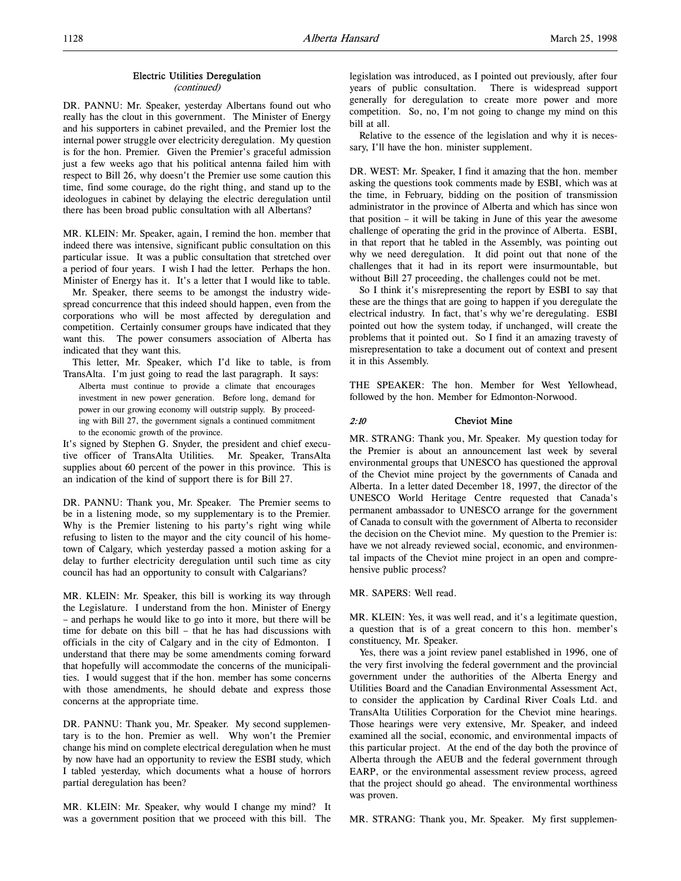#### Electric Utilities Deregulation

#### (continued)

DR. PANNU: Mr. Speaker, yesterday Albertans found out who really has the clout in this government. The Minister of Energy and his supporters in cabinet prevailed, and the Premier lost the internal power struggle over electricity deregulation. My question is for the hon. Premier. Given the Premier's graceful admission just a few weeks ago that his political antenna failed him with respect to Bill 26, why doesn't the Premier use some caution this time, find some courage, do the right thing, and stand up to the ideologues in cabinet by delaying the electric deregulation until there has been broad public consultation with all Albertans?

MR. KLEIN: Mr. Speaker, again, I remind the hon. member that indeed there was intensive, significant public consultation on this particular issue. It was a public consultation that stretched over a period of four years. I wish I had the letter. Perhaps the hon. Minister of Energy has it. It's a letter that I would like to table.

Mr. Speaker, there seems to be amongst the industry widespread concurrence that this indeed should happen, even from the corporations who will be most affected by deregulation and competition. Certainly consumer groups have indicated that they want this. The power consumers association of Alberta has indicated that they want this.

This letter, Mr. Speaker, which I'd like to table, is from TransAlta. I'm just going to read the last paragraph. It says:

Alberta must continue to provide a climate that encourages investment in new power generation. Before long, demand for power in our growing economy will outstrip supply. By proceeding with Bill 27, the government signals a continued commitment to the economic growth of the province.

It's signed by Stephen G. Snyder, the president and chief executive officer of TransAlta Utilities. Mr. Speaker, TransAlta supplies about 60 percent of the power in this province. This is an indication of the kind of support there is for Bill 27.

DR. PANNU: Thank you, Mr. Speaker. The Premier seems to be in a listening mode, so my supplementary is to the Premier. Why is the Premier listening to his party's right wing while refusing to listen to the mayor and the city council of his hometown of Calgary, which yesterday passed a motion asking for a delay to further electricity deregulation until such time as city council has had an opportunity to consult with Calgarians?

MR. KLEIN: Mr. Speaker, this bill is working its way through the Legislature. I understand from the hon. Minister of Energy – and perhaps he would like to go into it more, but there will be time for debate on this bill – that he has had discussions with officials in the city of Calgary and in the city of Edmonton. I understand that there may be some amendments coming forward that hopefully will accommodate the concerns of the municipalities. I would suggest that if the hon. member has some concerns with those amendments, he should debate and express those concerns at the appropriate time.

DR. PANNU: Thank you, Mr. Speaker. My second supplementary is to the hon. Premier as well. Why won't the Premier change his mind on complete electrical deregulation when he must by now have had an opportunity to review the ESBI study, which I tabled yesterday, which documents what a house of horrors partial deregulation has been?

MR. KLEIN: Mr. Speaker, why would I change my mind? It was a government position that we proceed with this bill. The legislation was introduced, as I pointed out previously, after four years of public consultation. There is widespread support generally for deregulation to create more power and more competition. So, no, I'm not going to change my mind on this bill at all.

Relative to the essence of the legislation and why it is necessary, I'll have the hon. minister supplement.

DR. WEST: Mr. Speaker, I find it amazing that the hon. member asking the questions took comments made by ESBI, which was at the time, in February, bidding on the position of transmission administrator in the province of Alberta and which has since won that position – it will be taking in June of this year the awesome challenge of operating the grid in the province of Alberta. ESBI, in that report that he tabled in the Assembly, was pointing out why we need deregulation. It did point out that none of the challenges that it had in its report were insurmountable, but without Bill 27 proceeding, the challenges could not be met.

So I think it's misrepresenting the report by ESBI to say that these are the things that are going to happen if you deregulate the electrical industry. In fact, that's why we're deregulating. ESBI pointed out how the system today, if unchanged, will create the problems that it pointed out. So I find it an amazing travesty of misrepresentation to take a document out of context and present it in this Assembly.

THE SPEAKER: The hon. Member for West Yellowhead, followed by the hon. Member for Edmonton-Norwood.

## 2:10 Cheviot Mine

MR. STRANG: Thank you, Mr. Speaker. My question today for the Premier is about an announcement last week by several environmental groups that UNESCO has questioned the approval of the Cheviot mine project by the governments of Canada and Alberta. In a letter dated December 18, 1997, the director of the UNESCO World Heritage Centre requested that Canada's permanent ambassador to UNESCO arrange for the government of Canada to consult with the government of Alberta to reconsider the decision on the Cheviot mine. My question to the Premier is: have we not already reviewed social, economic, and environmental impacts of the Cheviot mine project in an open and comprehensive public process?

#### MR. SAPERS: Well read.

MR. KLEIN: Yes, it was well read, and it's a legitimate question, a question that is of a great concern to this hon. member's constituency, Mr. Speaker.

Yes, there was a joint review panel established in 1996, one of the very first involving the federal government and the provincial government under the authorities of the Alberta Energy and Utilities Board and the Canadian Environmental Assessment Act, to consider the application by Cardinal River Coals Ltd. and TransAlta Utilities Corporation for the Cheviot mine hearings. Those hearings were very extensive, Mr. Speaker, and indeed examined all the social, economic, and environmental impacts of this particular project. At the end of the day both the province of Alberta through the AEUB and the federal government through EARP, or the environmental assessment review process, agreed that the project should go ahead. The environmental worthiness was proven.

MR. STRANG: Thank you, Mr. Speaker. My first supplemen-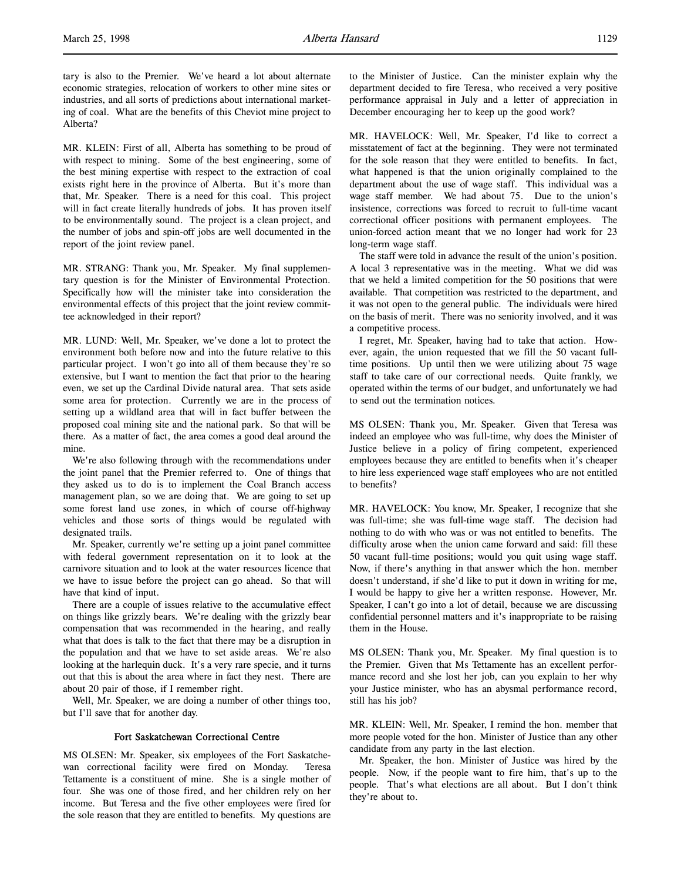tary is also to the Premier. We've heard a lot about alternate economic strategies, relocation of workers to other mine sites or industries, and all sorts of predictions about international marketing of coal. What are the benefits of this Cheviot mine project to Alberta?

MR. KLEIN: First of all, Alberta has something to be proud of with respect to mining. Some of the best engineering, some of the best mining expertise with respect to the extraction of coal exists right here in the province of Alberta. But it's more than that, Mr. Speaker. There is a need for this coal. This project will in fact create literally hundreds of jobs. It has proven itself to be environmentally sound. The project is a clean project, and the number of jobs and spin-off jobs are well documented in the report of the joint review panel.

MR. STRANG: Thank you, Mr. Speaker. My final supplementary question is for the Minister of Environmental Protection. Specifically how will the minister take into consideration the environmental effects of this project that the joint review committee acknowledged in their report?

MR. LUND: Well, Mr. Speaker, we've done a lot to protect the environment both before now and into the future relative to this particular project. I won't go into all of them because they're so extensive, but I want to mention the fact that prior to the hearing even, we set up the Cardinal Divide natural area. That sets aside some area for protection. Currently we are in the process of setting up a wildland area that will in fact buffer between the proposed coal mining site and the national park. So that will be there. As a matter of fact, the area comes a good deal around the mine.

We're also following through with the recommendations under the joint panel that the Premier referred to. One of things that they asked us to do is to implement the Coal Branch access management plan, so we are doing that. We are going to set up some forest land use zones, in which of course off-highway vehicles and those sorts of things would be regulated with designated trails.

Mr. Speaker, currently we're setting up a joint panel committee with federal government representation on it to look at the carnivore situation and to look at the water resources licence that we have to issue before the project can go ahead. So that will have that kind of input.

There are a couple of issues relative to the accumulative effect on things like grizzly bears. We're dealing with the grizzly bear compensation that was recommended in the hearing, and really what that does is talk to the fact that there may be a disruption in the population and that we have to set aside areas. We're also looking at the harlequin duck. It's a very rare specie, and it turns out that this is about the area where in fact they nest. There are about 20 pair of those, if I remember right.

Well, Mr. Speaker, we are doing a number of other things too, but I'll save that for another day.

## Fort Saskatchewan Correctional Centre

MS OLSEN: Mr. Speaker, six employees of the Fort Saskatchewan correctional facility were fired on Monday. Teresa Tettamente is a constituent of mine. She is a single mother of four. She was one of those fired, and her children rely on her income. But Teresa and the five other employees were fired for the sole reason that they are entitled to benefits. My questions are

to the Minister of Justice. Can the minister explain why the department decided to fire Teresa, who received a very positive performance appraisal in July and a letter of appreciation in December encouraging her to keep up the good work?

MR. HAVELOCK: Well, Mr. Speaker, I'd like to correct a misstatement of fact at the beginning. They were not terminated for the sole reason that they were entitled to benefits. In fact, what happened is that the union originally complained to the department about the use of wage staff. This individual was a wage staff member. We had about 75. Due to the union's insistence, corrections was forced to recruit to full-time vacant correctional officer positions with permanent employees. The union-forced action meant that we no longer had work for 23 long-term wage staff.

The staff were told in advance the result of the union's position. A local 3 representative was in the meeting. What we did was that we held a limited competition for the 50 positions that were available. That competition was restricted to the department, and it was not open to the general public. The individuals were hired on the basis of merit. There was no seniority involved, and it was a competitive process.

I regret, Mr. Speaker, having had to take that action. However, again, the union requested that we fill the 50 vacant fulltime positions. Up until then we were utilizing about 75 wage staff to take care of our correctional needs. Quite frankly, we operated within the terms of our budget, and unfortunately we had to send out the termination notices.

MS OLSEN: Thank you, Mr. Speaker. Given that Teresa was indeed an employee who was full-time, why does the Minister of Justice believe in a policy of firing competent, experienced employees because they are entitled to benefits when it's cheaper to hire less experienced wage staff employees who are not entitled to benefits?

MR. HAVELOCK: You know, Mr. Speaker, I recognize that she was full-time; she was full-time wage staff. The decision had nothing to do with who was or was not entitled to benefits. The difficulty arose when the union came forward and said: fill these 50 vacant full-time positions; would you quit using wage staff. Now, if there's anything in that answer which the hon. member doesn't understand, if she'd like to put it down in writing for me, I would be happy to give her a written response. However, Mr. Speaker, I can't go into a lot of detail, because we are discussing confidential personnel matters and it's inappropriate to be raising them in the House.

MS OLSEN: Thank you, Mr. Speaker. My final question is to the Premier. Given that Ms Tettamente has an excellent performance record and she lost her job, can you explain to her why your Justice minister, who has an abysmal performance record, still has his job?

MR. KLEIN: Well, Mr. Speaker, I remind the hon. member that more people voted for the hon. Minister of Justice than any other candidate from any party in the last election.

Mr. Speaker, the hon. Minister of Justice was hired by the people. Now, if the people want to fire him, that's up to the people. That's what elections are all about. But I don't think they're about to.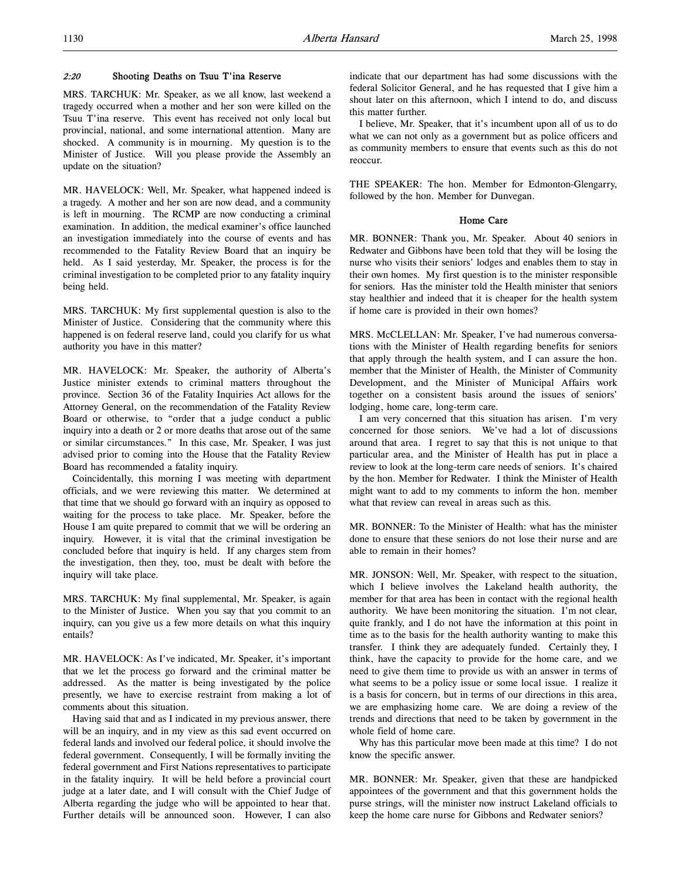## 2:20 Shooting Deaths on Tsuu T'ina Reserve

MRS. TARCHUK: Mr. Speaker, as we all know, last weekend a tragedy occurred when a mother and her son were killed on the Tsuu T'ina reserve. This event has received not only local but provincial, national, and some international attention. Many are shocked. A community is in mourning. My question is to the Minister of Justice. Will you please provide the Assembly an update on the situation?

MR. HAVELOCK: Well, Mr. Speaker, what happened indeed is a tragedy. A mother and her son are now dead, and a community is left in mourning. The RCMP are now conducting a criminal examination. In addition, the medical examiner's office launched an investigation immediately into the course of events and has recommended to the Fatality Review Board that an inquiry be held. As I said yesterday, Mr. Speaker, the process is for the criminal investigation to be completed prior to any fatality inquiry being held.

MRS. TARCHUK: My first supplemental question is also to the Minister of Justice. Considering that the community where this happened is on federal reserve land, could you clarify for us what authority you have in this matter?

MR. HAVELOCK: Mr. Speaker, the authority of Alberta's Justice minister extends to criminal matters throughout the province. Section 36 of the Fatality Inquiries Act allows for the Attorney General, on the recommendation of the Fatality Review Board or otherwise, to "order that a judge conduct a public inquiry into a death or 2 or more deaths that arose out of the same or similar circumstances." In this case, Mr. Speaker, I was just advised prior to coming into the House that the Fatality Review Board has recommended a fatality inquiry.

Coincidentally, this morning I was meeting with department officials, and we were reviewing this matter. We determined at that time that we should go forward with an inquiry as opposed to waiting for the process to take place. Mr. Speaker, before the House I am quite prepared to commit that we will be ordering an inquiry. However, it is vital that the criminal investigation be concluded before that inquiry is held. If any charges stem from the investigation, then they, too, must be dealt with before the inquiry will take place.

MRS. TARCHUK: My final supplemental, Mr. Speaker, is again to the Minister of Justice. When you say that you commit to an inquiry, can you give us a few more details on what this inquiry entails?

MR. HAVELOCK: As I've indicated, Mr. Speaker, it's important that we let the process go forward and the criminal matter be addressed. As the matter is being investigated by the police presently, we have to exercise restraint from making a lot of comments about this situation.

Having said that and as I indicated in my previous answer, there will be an inquiry, and in my view as this sad event occurred on federal lands and involved our federal police, it should involve the federal government. Consequently, I will be formally inviting the federal government and First Nations representatives to participate in the fatality inquiry. It will be held before a provincial court judge at a later date, and I will consult with the Chief Judge of Alberta regarding the judge who will be appointed to hear that. Further details will be announced soon. However, I can also

indicate that our department has had some discussions with the federal Solicitor General, and he has requested that I give him a shout later on this afternoon, which I intend to do, and discuss this matter further.

I believe, Mr. Speaker, that it's incumbent upon all of us to do what we can not only as a government but as police officers and as community members to ensure that events such as this do not reoccur.

THE SPEAKER: The hon. Member for Edmonton-Glengarry, followed by the hon. Member for Dunvegan.

## Home Care

MR. BONNER: Thank you, Mr. Speaker. About 40 seniors in Redwater and Gibbons have been told that they will be losing the nurse who visits their seniors' lodges and enables them to stay in their own homes. My first question is to the minister responsible for seniors. Has the minister told the Health minister that seniors stay healthier and indeed that it is cheaper for the health system if home care is provided in their own homes?

MRS. McCLELLAN: Mr. Speaker, I've had numerous conversations with the Minister of Health regarding benefits for seniors that apply through the health system, and I can assure the hon. member that the Minister of Health, the Minister of Community Development, and the Minister of Municipal Affairs work together on a consistent basis around the issues of seniors' lodging, home care, long-term care.

I am very concerned that this situation has arisen. I'm very concerned for those seniors. We've had a lot of discussions around that area. I regret to say that this is not unique to that particular area, and the Minister of Health has put in place a review to look at the long-term care needs of seniors. It's chaired by the hon. Member for Redwater. I think the Minister of Health might want to add to my comments to inform the hon. member what that review can reveal in areas such as this.

MR. BONNER: To the Minister of Health: what has the minister done to ensure that these seniors do not lose their nurse and are able to remain in their homes?

MR. JONSON: Well, Mr. Speaker, with respect to the situation, which I believe involves the Lakeland health authority, the member for that area has been in contact with the regional health authority. We have been monitoring the situation. I'm not clear, quite frankly, and I do not have the information at this point in time as to the basis for the health authority wanting to make this transfer. I think they are adequately funded. Certainly they, I think, have the capacity to provide for the home care, and we need to give them time to provide us with an answer in terms of what seems to be a policy issue or some local issue. I realize it is a basis for concern, but in terms of our directions in this area, we are emphasizing home care. We are doing a review of the trends and directions that need to be taken by government in the whole field of home care.

Why has this particular move been made at this time? I do not know the specific answer.

MR. BONNER: Mr. Speaker, given that these are handpicked appointees of the government and that this government holds the purse strings, will the minister now instruct Lakeland officials to keep the home care nurse for Gibbons and Redwater seniors?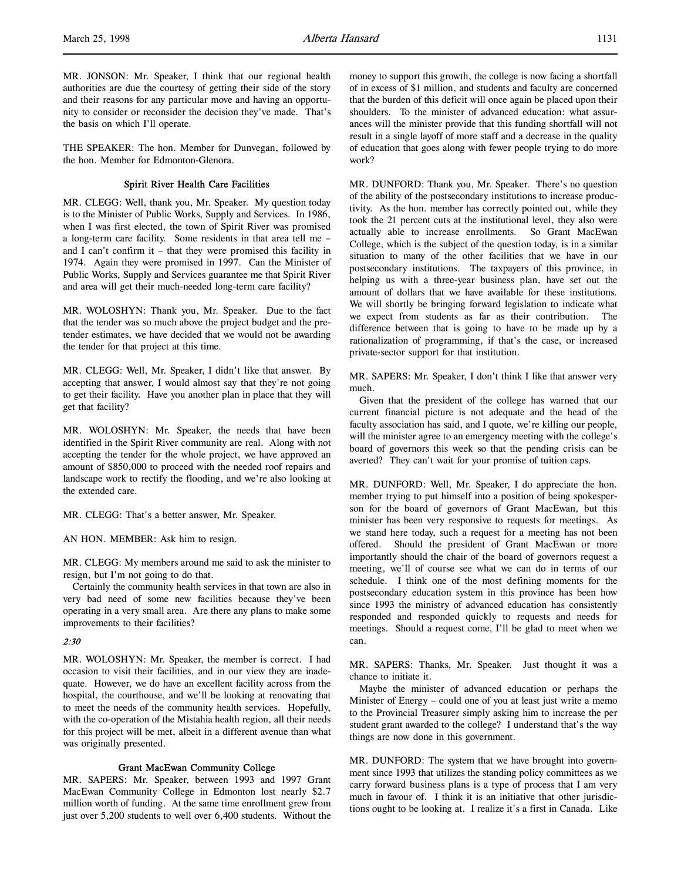MR. JONSON: Mr. Speaker, I think that our regional health authorities are due the courtesy of getting their side of the story and their reasons for any particular move and having an opportunity to consider or reconsider the decision they've made. That's the basis on which I'll operate.

THE SPEAKER: The hon. Member for Dunvegan, followed by the hon. Member for Edmonton-Glenora.

# Spirit River Health Care Facilities

MR. CLEGG: Well, thank you, Mr. Speaker. My question today is to the Minister of Public Works, Supply and Services. In 1986, when I was first elected, the town of Spirit River was promised a long-term care facility. Some residents in that area tell me – and I can't confirm it – that they were promised this facility in 1974. Again they were promised in 1997. Can the Minister of Public Works, Supply and Services guarantee me that Spirit River and area will get their much-needed long-term care facility?

MR. WOLOSHYN: Thank you, Mr. Speaker. Due to the fact that the tender was so much above the project budget and the pretender estimates, we have decided that we would not be awarding the tender for that project at this time.

MR. CLEGG: Well, Mr. Speaker, I didn't like that answer. By accepting that answer, I would almost say that they're not going to get their facility. Have you another plan in place that they will get that facility?

MR. WOLOSHYN: Mr. Speaker, the needs that have been identified in the Spirit River community are real. Along with not accepting the tender for the whole project, we have approved an amount of \$850,000 to proceed with the needed roof repairs and landscape work to rectify the flooding, and we're also looking at the extended care.

MR. CLEGG: That's a better answer, Mr. Speaker.

# AN HON. MEMBER: Ask him to resign.

MR. CLEGG: My members around me said to ask the minister to resign, but I'm not going to do that.

Certainly the community health services in that town are also in very bad need of some new facilities because they've been operating in a very small area. Are there any plans to make some improvements to their facilities?

# $2.30$

MR. WOLOSHYN: Mr. Speaker, the member is correct. I had occasion to visit their facilities, and in our view they are inadequate. However, we do have an excellent facility across from the hospital, the courthouse, and we'll be looking at renovating that to meet the needs of the community health services. Hopefully, with the co-operation of the Mistahia health region, all their needs for this project will be met, albeit in a different avenue than what was originally presented.

#### Grant MacEwan Community College

MR. SAPERS: Mr. Speaker, between 1993 and 1997 Grant MacEwan Community College in Edmonton lost nearly \$2.7 million worth of funding. At the same time enrollment grew from just over 5,200 students to well over 6,400 students. Without the

money to support this growth, the college is now facing a shortfall of in excess of \$1 million, and students and faculty are concerned that the burden of this deficit will once again be placed upon their shoulders. To the minister of advanced education: what assurances will the minister provide that this funding shortfall will not result in a single layoff of more staff and a decrease in the quality of education that goes along with fewer people trying to do more work?

MR. DUNFORD: Thank you, Mr. Speaker. There's no question of the ability of the postsecondary institutions to increase productivity. As the hon. member has correctly pointed out, while they took the 21 percent cuts at the institutional level, they also were actually able to increase enrollments. So Grant MacEwan College, which is the subject of the question today, is in a similar situation to many of the other facilities that we have in our postsecondary institutions. The taxpayers of this province, in helping us with a three-year business plan, have set out the amount of dollars that we have available for these institutions. We will shortly be bringing forward legislation to indicate what we expect from students as far as their contribution. The difference between that is going to have to be made up by a rationalization of programming, if that's the case, or increased private-sector support for that institution.

MR. SAPERS: Mr. Speaker, I don't think I like that answer very much.

Given that the president of the college has warned that our current financial picture is not adequate and the head of the faculty association has said, and I quote, we're killing our people, will the minister agree to an emergency meeting with the college's board of governors this week so that the pending crisis can be averted? They can't wait for your promise of tuition caps.

MR. DUNFORD: Well, Mr. Speaker, I do appreciate the hon. member trying to put himself into a position of being spokesperson for the board of governors of Grant MacEwan, but this minister has been very responsive to requests for meetings. As we stand here today, such a request for a meeting has not been offered. Should the president of Grant MacEwan or more importantly should the chair of the board of governors request a meeting, we'll of course see what we can do in terms of our schedule. I think one of the most defining moments for the postsecondary education system in this province has been how since 1993 the ministry of advanced education has consistently responded and responded quickly to requests and needs for meetings. Should a request come, I'll be glad to meet when we can.

MR. SAPERS: Thanks, Mr. Speaker. Just thought it was a chance to initiate it.

Maybe the minister of advanced education or perhaps the Minister of Energy – could one of you at least just write a memo to the Provincial Treasurer simply asking him to increase the per student grant awarded to the college? I understand that's the way things are now done in this government.

MR. DUNFORD: The system that we have brought into government since 1993 that utilizes the standing policy committees as we carry forward business plans is a type of process that I am very much in favour of. I think it is an initiative that other jurisdictions ought to be looking at. I realize it's a first in Canada. Like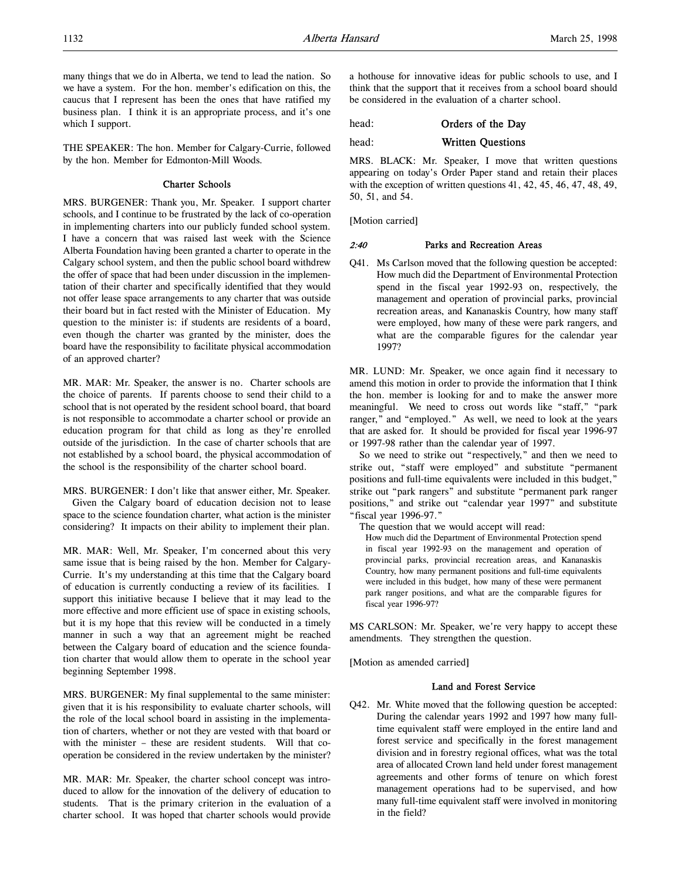many things that we do in Alberta, we tend to lead the nation. So we have a system. For the hon. member's edification on this, the caucus that I represent has been the ones that have ratified my business plan. I think it is an appropriate process, and it's one which I support.

THE SPEAKER: The hon. Member for Calgary-Currie, followed by the hon. Member for Edmonton-Mill Woods.

## Charter Schools

MRS. BURGENER: Thank you, Mr. Speaker. I support charter schools, and I continue to be frustrated by the lack of co-operation in implementing charters into our publicly funded school system. I have a concern that was raised last week with the Science Alberta Foundation having been granted a charter to operate in the Calgary school system, and then the public school board withdrew the offer of space that had been under discussion in the implementation of their charter and specifically identified that they would not offer lease space arrangements to any charter that was outside their board but in fact rested with the Minister of Education. My question to the minister is: if students are residents of a board, even though the charter was granted by the minister, does the board have the responsibility to facilitate physical accommodation of an approved charter?

MR. MAR: Mr. Speaker, the answer is no. Charter schools are the choice of parents. If parents choose to send their child to a school that is not operated by the resident school board, that board is not responsible to accommodate a charter school or provide an education program for that child as long as they're enrolled outside of the jurisdiction. In the case of charter schools that are not established by a school board, the physical accommodation of the school is the responsibility of the charter school board.

MRS. BURGENER: I don't like that answer either, Mr. Speaker. Given the Calgary board of education decision not to lease space to the science foundation charter, what action is the minister considering? It impacts on their ability to implement their plan.

MR. MAR: Well, Mr. Speaker, I'm concerned about this very same issue that is being raised by the hon. Member for Calgary-Currie. It's my understanding at this time that the Calgary board of education is currently conducting a review of its facilities. I support this initiative because I believe that it may lead to the more effective and more efficient use of space in existing schools, but it is my hope that this review will be conducted in a timely manner in such a way that an agreement might be reached between the Calgary board of education and the science foundation charter that would allow them to operate in the school year beginning September 1998.

MRS. BURGENER: My final supplemental to the same minister: given that it is his responsibility to evaluate charter schools, will the role of the local school board in assisting in the implementation of charters, whether or not they are vested with that board or with the minister – these are resident students. Will that cooperation be considered in the review undertaken by the minister?

MR. MAR: Mr. Speaker, the charter school concept was introduced to allow for the innovation of the delivery of education to students. That is the primary criterion in the evaluation of a charter school. It was hoped that charter schools would provide a hothouse for innovative ideas for public schools to use, and I think that the support that it receives from a school board should be considered in the evaluation of a charter school.

head: Orders of the Day

head: Written Questions

MRS. BLACK: Mr. Speaker, I move that written questions appearing on today's Order Paper stand and retain their places with the exception of written questions 41, 42, 45, 46, 47, 48, 49, 50, 51, and 54.

[Motion carried]

# 2:40 Parks and Recreation Areas

Q41. Ms Carlson moved that the following question be accepted: How much did the Department of Environmental Protection spend in the fiscal year 1992-93 on, respectively, the management and operation of provincial parks, provincial recreation areas, and Kananaskis Country, how many staff were employed, how many of these were park rangers, and what are the comparable figures for the calendar year 1997?

MR. LUND: Mr. Speaker, we once again find it necessary to amend this motion in order to provide the information that I think the hon. member is looking for and to make the answer more meaningful. We need to cross out words like "staff," "park ranger," and "employed." As well, we need to look at the years that are asked for. It should be provided for fiscal year 1996-97 or 1997-98 rather than the calendar year of 1997.

So we need to strike out "respectively," and then we need to strike out, "staff were employed" and substitute "permanent positions and full-time equivalents were included in this budget," strike out "park rangers" and substitute "permanent park ranger positions," and strike out "calendar year 1997" and substitute "fiscal year 1996-97."

The question that we would accept will read:

How much did the Department of Environmental Protection spend in fiscal year 1992-93 on the management and operation of provincial parks, provincial recreation areas, and Kananaskis Country, how many permanent positions and full-time equivalents were included in this budget, how many of these were permanent park ranger positions, and what are the comparable figures for fiscal year 1996-97?

MS CARLSON: Mr. Speaker, we're very happy to accept these amendments. They strengthen the question.

[Motion as amended carried]

## Land and Forest Service

Q42. Mr. White moved that the following question be accepted: During the calendar years 1992 and 1997 how many fulltime equivalent staff were employed in the entire land and forest service and specifically in the forest management division and in forestry regional offices, what was the total area of allocated Crown land held under forest management agreements and other forms of tenure on which forest management operations had to be supervised, and how many full-time equivalent staff were involved in monitoring in the field?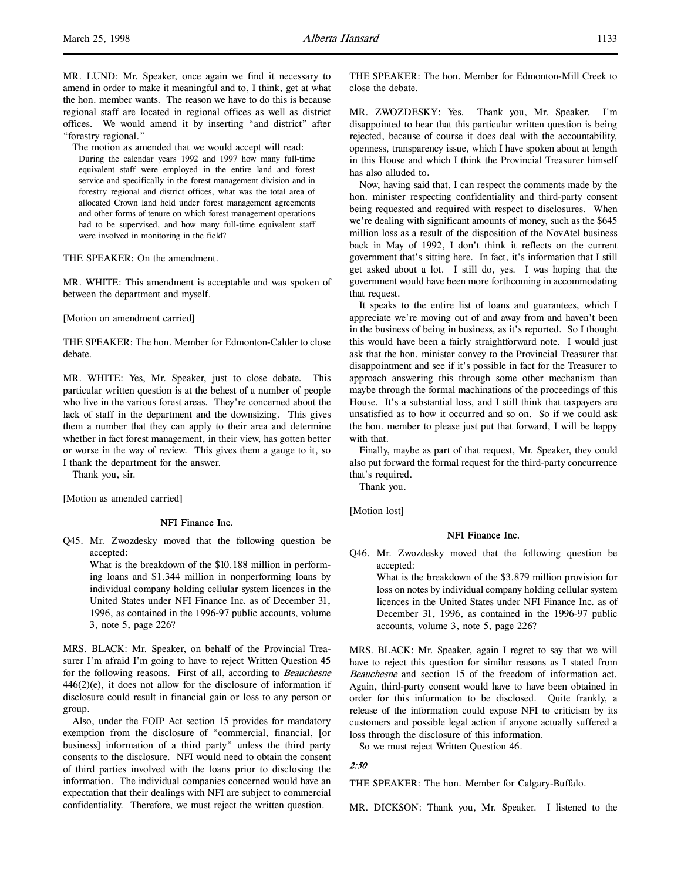MR. LUND: Mr. Speaker, once again we find it necessary to amend in order to make it meaningful and to, I think, get at what the hon. member wants. The reason we have to do this is because regional staff are located in regional offices as well as district offices. We would amend it by inserting "and district" after "forestry regional."

The motion as amended that we would accept will read:

During the calendar years 1992 and 1997 how many full-time equivalent staff were employed in the entire land and forest service and specifically in the forest management division and in forestry regional and district offices, what was the total area of allocated Crown land held under forest management agreements and other forms of tenure on which forest management operations had to be supervised, and how many full-time equivalent staff were involved in monitoring in the field?

THE SPEAKER: On the amendment.

MR. WHITE: This amendment is acceptable and was spoken of between the department and myself.

[Motion on amendment carried]

THE SPEAKER: The hon. Member for Edmonton-Calder to close debate.

MR. WHITE: Yes, Mr. Speaker, just to close debate. This particular written question is at the behest of a number of people who live in the various forest areas. They're concerned about the lack of staff in the department and the downsizing. This gives them a number that they can apply to their area and determine whether in fact forest management, in their view, has gotten better or worse in the way of review. This gives them a gauge to it, so I thank the department for the answer.

Thank you, sir.

[Motion as amended carried]

#### NFI Finance Inc.

Q45. Mr. Zwozdesky moved that the following question be accepted:

> What is the breakdown of the \$10.188 million in performing loans and \$1.344 million in nonperforming loans by individual company holding cellular system licences in the United States under NFI Finance Inc. as of December 31, 1996, as contained in the 1996-97 public accounts, volume 3, note 5, page 226?

MRS. BLACK: Mr. Speaker, on behalf of the Provincial Treasurer I'm afraid I'm going to have to reject Written Question 45 for the following reasons. First of all, according to Beauchesne  $446(2)(e)$ , it does not allow for the disclosure of information if disclosure could result in financial gain or loss to any person or group.

Also, under the FOIP Act section 15 provides for mandatory exemption from the disclosure of "commercial, financial, [or business] information of a third party" unless the third party consents to the disclosure. NFI would need to obtain the consent of third parties involved with the loans prior to disclosing the information. The individual companies concerned would have an expectation that their dealings with NFI are subject to commercial confidentiality. Therefore, we must reject the written question.

THE SPEAKER: The hon. Member for Edmonton-Mill Creek to close the debate.

MR. ZWOZDESKY: Yes. Thank you, Mr. Speaker. I'm disappointed to hear that this particular written question is being rejected, because of course it does deal with the accountability, openness, transparency issue, which I have spoken about at length in this House and which I think the Provincial Treasurer himself has also alluded to.

Now, having said that, I can respect the comments made by the hon. minister respecting confidentiality and third-party consent being requested and required with respect to disclosures. When we're dealing with significant amounts of money, such as the \$645 million loss as a result of the disposition of the NovAtel business back in May of 1992, I don't think it reflects on the current government that's sitting here. In fact, it's information that I still get asked about a lot. I still do, yes. I was hoping that the government would have been more forthcoming in accommodating that request.

It speaks to the entire list of loans and guarantees, which I appreciate we're moving out of and away from and haven't been in the business of being in business, as it's reported. So I thought this would have been a fairly straightforward note. I would just ask that the hon. minister convey to the Provincial Treasurer that disappointment and see if it's possible in fact for the Treasurer to approach answering this through some other mechanism than maybe through the formal machinations of the proceedings of this House. It's a substantial loss, and I still think that taxpayers are unsatisfied as to how it occurred and so on. So if we could ask the hon. member to please just put that forward, I will be happy with that.

Finally, maybe as part of that request, Mr. Speaker, they could also put forward the formal request for the third-party concurrence that's required.

Thank you.

[Motion lost]

#### NFI Finance Inc.

Q46. Mr. Zwozdesky moved that the following question be accepted:

What is the breakdown of the \$3.879 million provision for loss on notes by individual company holding cellular system licences in the United States under NFI Finance Inc. as of December 31, 1996, as contained in the 1996-97 public accounts, volume 3, note 5, page 226?

MRS. BLACK: Mr. Speaker, again I regret to say that we will have to reject this question for similar reasons as I stated from Beauchesne and section 15 of the freedom of information act. Again, third-party consent would have to have been obtained in order for this information to be disclosed. Quite frankly, a release of the information could expose NFI to criticism by its customers and possible legal action if anyone actually suffered a loss through the disclosure of this information.

So we must reject Written Question 46.

## 2:50

THE SPEAKER: The hon. Member for Calgary-Buffalo.

MR. DICKSON: Thank you, Mr. Speaker. I listened to the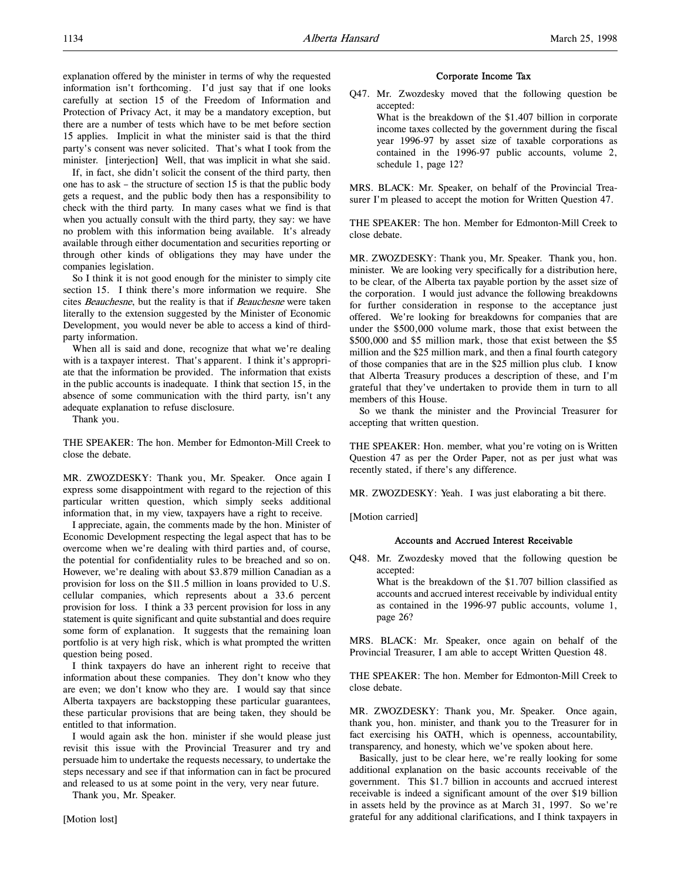explanation offered by the minister in terms of why the requested information isn't forthcoming. I'd just say that if one looks carefully at section 15 of the Freedom of Information and Protection of Privacy Act, it may be a mandatory exception, but there are a number of tests which have to be met before section 15 applies. Implicit in what the minister said is that the third party's consent was never solicited. That's what I took from the minister. [interjection] Well, that was implicit in what she said.

If, in fact, she didn't solicit the consent of the third party, then one has to ask – the structure of section 15 is that the public body gets a request, and the public body then has a responsibility to check with the third party. In many cases what we find is that when you actually consult with the third party, they say: we have no problem with this information being available. It's already available through either documentation and securities reporting or through other kinds of obligations they may have under the companies legislation.

So I think it is not good enough for the minister to simply cite section 15. I think there's more information we require. She cites Beauchesne, but the reality is that if Beauchesne were taken literally to the extension suggested by the Minister of Economic Development, you would never be able to access a kind of thirdparty information.

When all is said and done, recognize that what we're dealing with is a taxpayer interest. That's apparent. I think it's appropriate that the information be provided. The information that exists in the public accounts is inadequate. I think that section 15, in the absence of some communication with the third party, isn't any adequate explanation to refuse disclosure.

Thank you.

THE SPEAKER: The hon. Member for Edmonton-Mill Creek to close the debate.

MR. ZWOZDESKY: Thank you, Mr. Speaker. Once again I express some disappointment with regard to the rejection of this particular written question, which simply seeks additional information that, in my view, taxpayers have a right to receive.

I appreciate, again, the comments made by the hon. Minister of Economic Development respecting the legal aspect that has to be overcome when we're dealing with third parties and, of course, the potential for confidentiality rules to be breached and so on. However, we're dealing with about \$3.879 million Canadian as a provision for loss on the \$11.5 million in loans provided to U.S. cellular companies, which represents about a 33.6 percent provision for loss. I think a 33 percent provision for loss in any statement is quite significant and quite substantial and does require some form of explanation. It suggests that the remaining loan portfolio is at very high risk, which is what prompted the written question being posed.

I think taxpayers do have an inherent right to receive that information about these companies. They don't know who they are even; we don't know who they are. I would say that since Alberta taxpayers are backstopping these particular guarantees, these particular provisions that are being taken, they should be entitled to that information.

I would again ask the hon. minister if she would please just revisit this issue with the Provincial Treasurer and try and persuade him to undertake the requests necessary, to undertake the steps necessary and see if that information can in fact be procured and released to us at some point in the very, very near future.

Thank you, Mr. Speaker.

#### Corporate Income Tax

Q47. Mr. Zwozdesky moved that the following question be accepted:

What is the breakdown of the \$1.407 billion in corporate income taxes collected by the government during the fiscal year 1996-97 by asset size of taxable corporations as contained in the 1996-97 public accounts, volume 2, schedule 1, page 12?

MRS. BLACK: Mr. Speaker, on behalf of the Provincial Treasurer I'm pleased to accept the motion for Written Question 47.

THE SPEAKER: The hon. Member for Edmonton-Mill Creek to close debate.

MR. ZWOZDESKY: Thank you, Mr. Speaker. Thank you, hon. minister. We are looking very specifically for a distribution here, to be clear, of the Alberta tax payable portion by the asset size of the corporation. I would just advance the following breakdowns for further consideration in response to the acceptance just offered. We're looking for breakdowns for companies that are under the \$500,000 volume mark, those that exist between the \$500,000 and \$5 million mark, those that exist between the \$5 million and the \$25 million mark, and then a final fourth category of those companies that are in the \$25 million plus club. I know that Alberta Treasury produces a description of these, and I'm grateful that they've undertaken to provide them in turn to all members of this House.

So we thank the minister and the Provincial Treasurer for accepting that written question.

THE SPEAKER: Hon. member, what you're voting on is Written Question 47 as per the Order Paper, not as per just what was recently stated, if there's any difference.

MR. ZWOZDESKY: Yeah. I was just elaborating a bit there.

[Motion carried]

#### Accounts and Accrued Interest Receivable

Q48. Mr. Zwozdesky moved that the following question be accepted:

What is the breakdown of the \$1.707 billion classified as accounts and accrued interest receivable by individual entity as contained in the 1996-97 public accounts, volume 1, page 26?

MRS. BLACK: Mr. Speaker, once again on behalf of the Provincial Treasurer, I am able to accept Written Question 48.

THE SPEAKER: The hon. Member for Edmonton-Mill Creek to close debate.

MR. ZWOZDESKY: Thank you, Mr. Speaker. Once again, thank you, hon. minister, and thank you to the Treasurer for in fact exercising his OATH, which is openness, accountability, transparency, and honesty, which we've spoken about here.

Basically, just to be clear here, we're really looking for some additional explanation on the basic accounts receivable of the government. This \$1.7 billion in accounts and accrued interest receivable is indeed a significant amount of the over \$19 billion in assets held by the province as at March 31, 1997. So we're grateful for any additional clarifications, and I think taxpayers in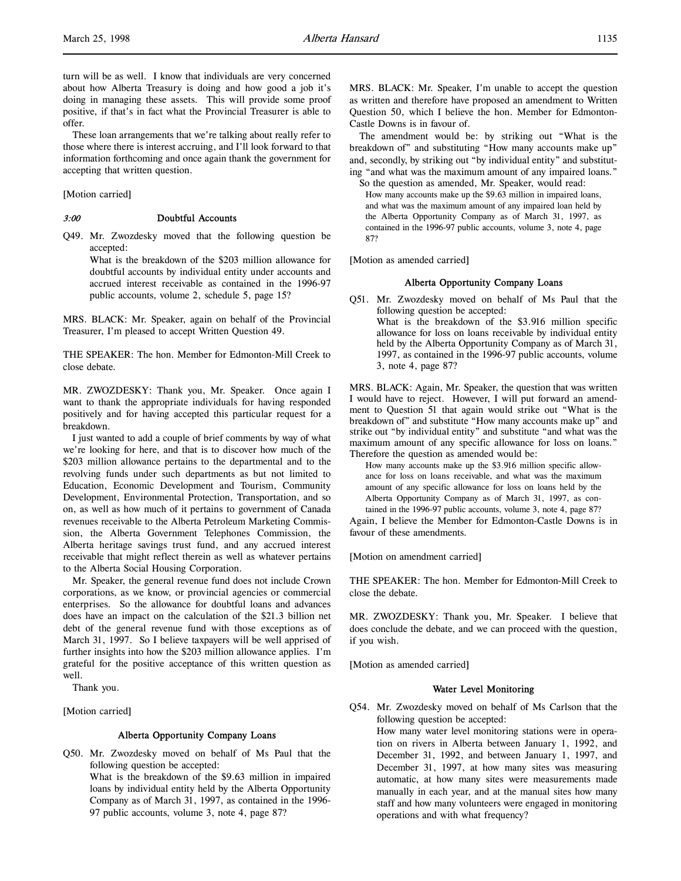turn will be as well. I know that individuals are very concerned about how Alberta Treasury is doing and how good a job it's doing in managing these assets. This will provide some proof positive, if that's in fact what the Provincial Treasurer is able to offer.

These loan arrangements that we're talking about really refer to those where there is interest accruing, and I'll look forward to that information forthcoming and once again thank the government for accepting that written question.

[Motion carried]

#### 3:00 Doubtful Accounts

Q49. Mr. Zwozdesky moved that the following question be accepted:

What is the breakdown of the \$203 million allowance for doubtful accounts by individual entity under accounts and accrued interest receivable as contained in the 1996-97 public accounts, volume 2, schedule 5, page 15?

MRS. BLACK: Mr. Speaker, again on behalf of the Provincial Treasurer, I'm pleased to accept Written Question 49.

THE SPEAKER: The hon. Member for Edmonton-Mill Creek to close debate.

MR. ZWOZDESKY: Thank you, Mr. Speaker. Once again I want to thank the appropriate individuals for having responded positively and for having accepted this particular request for a breakdown.

I just wanted to add a couple of brief comments by way of what we're looking for here, and that is to discover how much of the \$203 million allowance pertains to the departmental and to the revolving funds under such departments as but not limited to Education, Economic Development and Tourism, Community Development, Environmental Protection, Transportation, and so on, as well as how much of it pertains to government of Canada revenues receivable to the Alberta Petroleum Marketing Commission, the Alberta Government Telephones Commission, the Alberta heritage savings trust fund, and any accrued interest receivable that might reflect therein as well as whatever pertains to the Alberta Social Housing Corporation.

Mr. Speaker, the general revenue fund does not include Crown corporations, as we know, or provincial agencies or commercial enterprises. So the allowance for doubtful loans and advances does have an impact on the calculation of the \$21.3 billion net debt of the general revenue fund with those exceptions as of March 31, 1997. So I believe taxpayers will be well apprised of further insights into how the \$203 million allowance applies. I'm grateful for the positive acceptance of this written question as well.

Thank you.

[Motion carried]

#### Alberta Opportunity Company Loans

Q50. Mr. Zwozdesky moved on behalf of Ms Paul that the following question be accepted: What is the breakdown of the \$9.63 million in impaired loans by individual entity held by the Alberta Opportunity Company as of March 31, 1997, as contained in the 1996- 97 public accounts, volume 3, note 4, page 87?

MRS. BLACK: Mr. Speaker, I'm unable to accept the question as written and therefore have proposed an amendment to Written Question 50, which I believe the hon. Member for Edmonton-Castle Downs is in favour of.

The amendment would be: by striking out "What is the breakdown of" and substituting "How many accounts make up" and, secondly, by striking out "by individual entity" and substituting "and what was the maximum amount of any impaired loans."

So the question as amended, Mr. Speaker, would read: How many accounts make up the \$9.63 million in impaired loans, and what was the maximum amount of any impaired loan held by the Alberta Opportunity Company as of March 31, 1997, as contained in the 1996-97 public accounts, volume 3, note 4, page 87?

[Motion as amended carried]

#### Alberta Opportunity Company Loans

Q51. Mr. Zwozdesky moved on behalf of Ms Paul that the following question be accepted: What is the breakdown of the \$3.916 million specific allowance for loss on loans receivable by individual entity held by the Alberta Opportunity Company as of March 31, 1997, as contained in the 1996-97 public accounts, volume 3, note 4, page 87?

MRS. BLACK: Again, Mr. Speaker, the question that was written I would have to reject. However, I will put forward an amendment to Question 51 that again would strike out "What is the breakdown of" and substitute "How many accounts make up" and strike out "by individual entity" and substitute "and what was the maximum amount of any specific allowance for loss on loans." Therefore the question as amended would be:

How many accounts make up the \$3.916 million specific allowance for loss on loans receivable, and what was the maximum amount of any specific allowance for loss on loans held by the Alberta Opportunity Company as of March 31, 1997, as contained in the 1996-97 public accounts, volume 3, note 4, page 87?

Again, I believe the Member for Edmonton-Castle Downs is in favour of these amendments.

[Motion on amendment carried]

THE SPEAKER: The hon. Member for Edmonton-Mill Creek to close the debate.

MR. ZWOZDESKY: Thank you, Mr. Speaker. I believe that does conclude the debate, and we can proceed with the question, if you wish.

[Motion as amended carried]

# Water Level Monitoring

- Q54. Mr. Zwozdesky moved on behalf of Ms Carlson that the following question be accepted:
	- How many water level monitoring stations were in operation on rivers in Alberta between January 1, 1992, and December 31, 1992, and between January 1, 1997, and December 31, 1997, at how many sites was measuring automatic, at how many sites were measurements made manually in each year, and at the manual sites how many staff and how many volunteers were engaged in monitoring operations and with what frequency?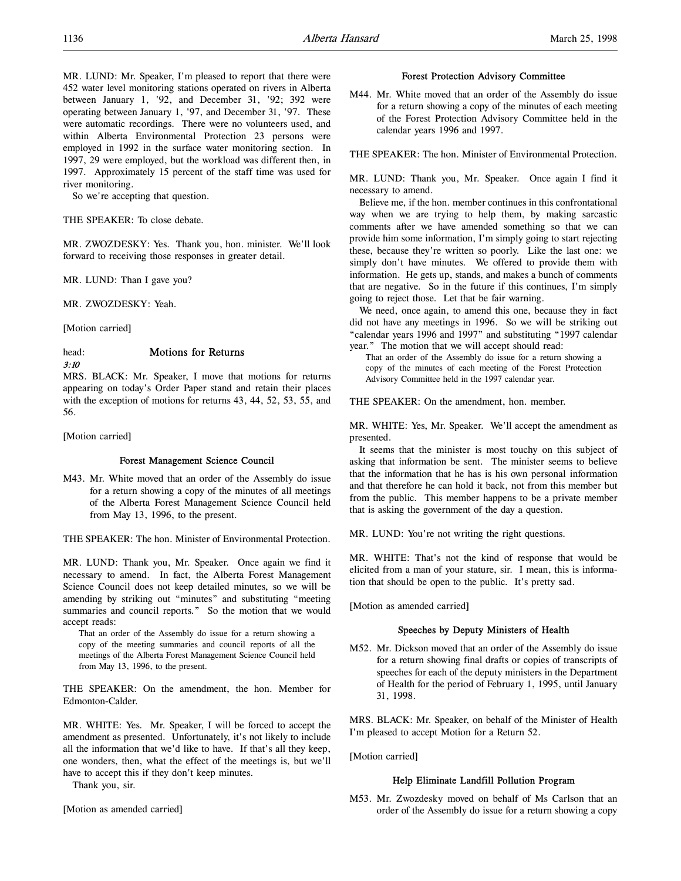MR. LUND: Mr. Speaker, I'm pleased to report that there were 452 water level monitoring stations operated on rivers in Alberta between January 1, '92, and December 31, '92; 392 were operating between January 1, '97, and December 31, '97. These were automatic recordings. There were no volunteers used, and within Alberta Environmental Protection 23 persons were employed in 1992 in the surface water monitoring section. In 1997, 29 were employed, but the workload was different then, in 1997. Approximately 15 percent of the staff time was used for river monitoring.

So we're accepting that question.

# THE SPEAKER: To close debate.

MR. ZWOZDESKY: Yes. Thank you, hon. minister. We'll look forward to receiving those responses in greater detail.

MR. LUND: Than I gave you?

MR. ZWOZDESKY: Yeah.

[Motion carried]

# head: Motions for Returns

3:10

# MRS. BLACK: Mr. Speaker, I move that motions for returns appearing on today's Order Paper stand and retain their places with the exception of motions for returns 43, 44, 52, 53, 55, and 56.

[Motion carried]

## Forest Management Science Council

M43. Mr. White moved that an order of the Assembly do issue for a return showing a copy of the minutes of all meetings of the Alberta Forest Management Science Council held from May 13, 1996, to the present.

THE SPEAKER: The hon. Minister of Environmental Protection.

MR. LUND: Thank you, Mr. Speaker. Once again we find it necessary to amend. In fact, the Alberta Forest Management Science Council does not keep detailed minutes, so we will be amending by striking out "minutes" and substituting "meeting summaries and council reports." So the motion that we would accept reads:

That an order of the Assembly do issue for a return showing a copy of the meeting summaries and council reports of all the meetings of the Alberta Forest Management Science Council held from May 13, 1996, to the present.

THE SPEAKER: On the amendment, the hon. Member for Edmonton-Calder.

MR. WHITE: Yes. Mr. Speaker, I will be forced to accept the amendment as presented. Unfortunately, it's not likely to include all the information that we'd like to have. If that's all they keep, one wonders, then, what the effect of the meetings is, but we'll have to accept this if they don't keep minutes.

Thank you, sir.

[Motion as amended carried]

## Forest Protection Advisory Committee

M44. Mr. White moved that an order of the Assembly do issue for a return showing a copy of the minutes of each meeting of the Forest Protection Advisory Committee held in the calendar years 1996 and 1997.

THE SPEAKER: The hon. Minister of Environmental Protection.

MR. LUND: Thank you, Mr. Speaker. Once again I find it necessary to amend.

Believe me, if the hon. member continues in this confrontational way when we are trying to help them, by making sarcastic comments after we have amended something so that we can provide him some information, I'm simply going to start rejecting these, because they're written so poorly. Like the last one: we simply don't have minutes. We offered to provide them with information. He gets up, stands, and makes a bunch of comments that are negative. So in the future if this continues, I'm simply going to reject those. Let that be fair warning.

We need, once again, to amend this one, because they in fact did not have any meetings in 1996. So we will be striking out "calendar years 1996 and 1997" and substituting "1997 calendar year." The motion that we will accept should read:

That an order of the Assembly do issue for a return showing a copy of the minutes of each meeting of the Forest Protection Advisory Committee held in the 1997 calendar year.

THE SPEAKER: On the amendment, hon. member.

MR. WHITE: Yes, Mr. Speaker. We'll accept the amendment as presented.

It seems that the minister is most touchy on this subject of asking that information be sent. The minister seems to believe that the information that he has is his own personal information and that therefore he can hold it back, not from this member but from the public. This member happens to be a private member that is asking the government of the day a question.

MR. LUND: You're not writing the right questions.

MR. WHITE: That's not the kind of response that would be elicited from a man of your stature, sir. I mean, this is information that should be open to the public. It's pretty sad.

[Motion as amended carried]

## Speeches by Deputy Ministers of Health

M52. Mr. Dickson moved that an order of the Assembly do issue for a return showing final drafts or copies of transcripts of speeches for each of the deputy ministers in the Department of Health for the period of February 1, 1995, until January 31, 1998.

MRS. BLACK: Mr. Speaker, on behalf of the Minister of Health I'm pleased to accept Motion for a Return 52.

[Motion carried]

## Help Eliminate Landfill Pollution Program

M53. Mr. Zwozdesky moved on behalf of Ms Carlson that an order of the Assembly do issue for a return showing a copy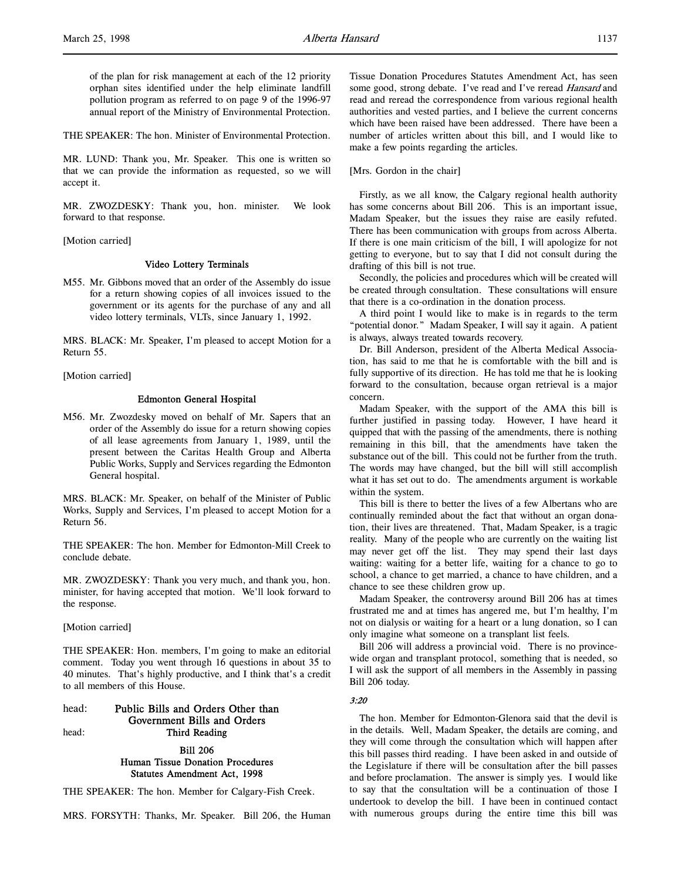of the plan for risk management at each of the 12 priority orphan sites identified under the help eliminate landfill pollution program as referred to on page 9 of the 1996-97 annual report of the Ministry of Environmental Protection.

THE SPEAKER: The hon. Minister of Environmental Protection.

MR. LUND: Thank you, Mr. Speaker. This one is written so that we can provide the information as requested, so we will accept it.

MR. ZWOZDESKY: Thank you, hon. minister. We look forward to that response.

[Motion carried]

#### Video Lottery Terminals

M55. Mr. Gibbons moved that an order of the Assembly do issue for a return showing copies of all invoices issued to the government or its agents for the purchase of any and all video lottery terminals, VLTs, since January 1, 1992.

MRS. BLACK: Mr. Speaker, I'm pleased to accept Motion for a Return 55.

[Motion carried]

## Edmonton General Hospital

M56. Mr. Zwozdesky moved on behalf of Mr. Sapers that an order of the Assembly do issue for a return showing copies of all lease agreements from January 1, 1989, until the present between the Caritas Health Group and Alberta Public Works, Supply and Services regarding the Edmonton General hospital.

MRS. BLACK: Mr. Speaker, on behalf of the Minister of Public Works, Supply and Services, I'm pleased to accept Motion for a Return 56.

THE SPEAKER: The hon. Member for Edmonton-Mill Creek to conclude debate.

MR. ZWOZDESKY: Thank you very much, and thank you, hon. minister, for having accepted that motion. We'll look forward to the response.

[Motion carried]

THE SPEAKER: Hon. members, I'm going to make an editorial comment. Today you went through 16 questions in about 35 to 40 minutes. That's highly productive, and I think that's a credit to all members of this House.

# head: Public Bills and Orders Other than Government Bills and Orders head: Third Reading

# Bill 206 Human Tissue Donation Procedures Statutes Amendment Act, 1998

THE SPEAKER: The hon. Member for Calgary-Fish Creek.

MRS. FORSYTH: Thanks, Mr. Speaker. Bill 206, the Human

Tissue Donation Procedures Statutes Amendment Act, has seen some good, strong debate. I've read and I've reread *Hansard* and read and reread the correspondence from various regional health authorities and vested parties, and I believe the current concerns which have been raised have been addressed. There have been a number of articles written about this bill, and I would like to make a few points regarding the articles.

[Mrs. Gordon in the chair]

Firstly, as we all know, the Calgary regional health authority has some concerns about Bill 206. This is an important issue, Madam Speaker, but the issues they raise are easily refuted. There has been communication with groups from across Alberta. If there is one main criticism of the bill, I will apologize for not getting to everyone, but to say that I did not consult during the drafting of this bill is not true.

Secondly, the policies and procedures which will be created will be created through consultation. These consultations will ensure that there is a co-ordination in the donation process.

A third point I would like to make is in regards to the term "potential donor." Madam Speaker, I will say it again. A patient is always, always treated towards recovery.

Dr. Bill Anderson, president of the Alberta Medical Association, has said to me that he is comfortable with the bill and is fully supportive of its direction. He has told me that he is looking forward to the consultation, because organ retrieval is a major concern.

Madam Speaker, with the support of the AMA this bill is further justified in passing today. However, I have heard it quipped that with the passing of the amendments, there is nothing remaining in this bill, that the amendments have taken the substance out of the bill. This could not be further from the truth. The words may have changed, but the bill will still accomplish what it has set out to do. The amendments argument is workable within the system.

This bill is there to better the lives of a few Albertans who are continually reminded about the fact that without an organ donation, their lives are threatened. That, Madam Speaker, is a tragic reality. Many of the people who are currently on the waiting list may never get off the list. They may spend their last days waiting: waiting for a better life, waiting for a chance to go to school, a chance to get married, a chance to have children, and a chance to see these children grow up.

Madam Speaker, the controversy around Bill 206 has at times frustrated me and at times has angered me, but I'm healthy, I'm not on dialysis or waiting for a heart or a lung donation, so I can only imagine what someone on a transplant list feels.

Bill 206 will address a provincial void. There is no provincewide organ and transplant protocol, something that is needed, so I will ask the support of all members in the Assembly in passing Bill 206 today.

#### 3:20

The hon. Member for Edmonton-Glenora said that the devil is in the details. Well, Madam Speaker, the details are coming, and they will come through the consultation which will happen after this bill passes third reading. I have been asked in and outside of the Legislature if there will be consultation after the bill passes and before proclamation. The answer is simply yes. I would like to say that the consultation will be a continuation of those I undertook to develop the bill. I have been in continued contact with numerous groups during the entire time this bill was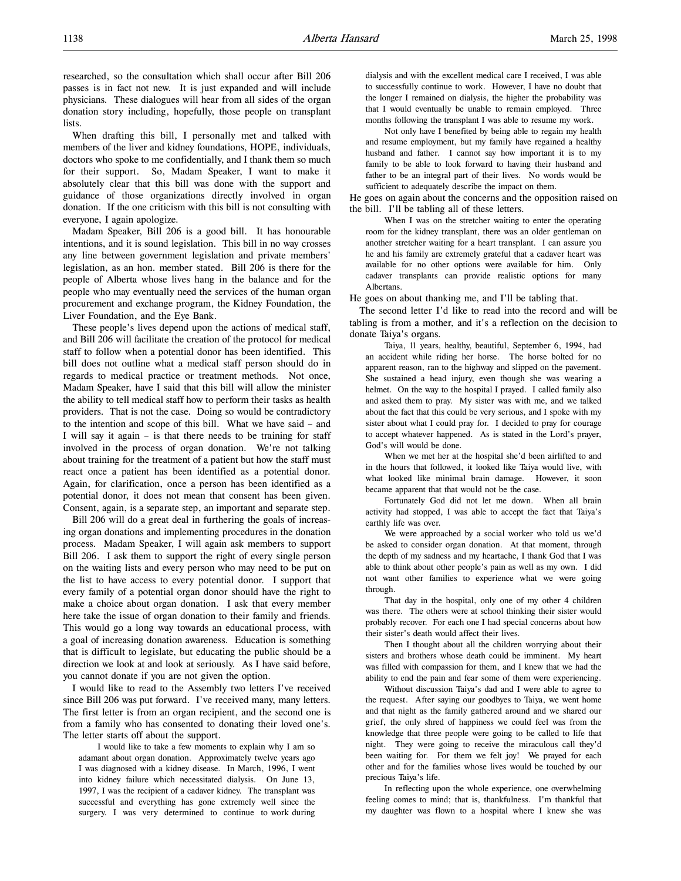researched, so the consultation which shall occur after Bill 206 passes is in fact not new. It is just expanded and will include physicians. These dialogues will hear from all sides of the organ donation story including, hopefully, those people on transplant lists.

When drafting this bill, I personally met and talked with members of the liver and kidney foundations, HOPE, individuals, doctors who spoke to me confidentially, and I thank them so much for their support. So, Madam Speaker, I want to make it absolutely clear that this bill was done with the support and guidance of those organizations directly involved in organ donation. If the one criticism with this bill is not consulting with everyone, I again apologize.

Madam Speaker, Bill 206 is a good bill. It has honourable intentions, and it is sound legislation. This bill in no way crosses any line between government legislation and private members' legislation, as an hon. member stated. Bill 206 is there for the people of Alberta whose lives hang in the balance and for the people who may eventually need the services of the human organ procurement and exchange program, the Kidney Foundation, the Liver Foundation, and the Eye Bank.

These people's lives depend upon the actions of medical staff, and Bill 206 will facilitate the creation of the protocol for medical staff to follow when a potential donor has been identified. This bill does not outline what a medical staff person should do in regards to medical practice or treatment methods. Not once, Madam Speaker, have I said that this bill will allow the minister the ability to tell medical staff how to perform their tasks as health providers. That is not the case. Doing so would be contradictory to the intention and scope of this bill. What we have said – and I will say it again – is that there needs to be training for staff involved in the process of organ donation. We're not talking about training for the treatment of a patient but how the staff must react once a patient has been identified as a potential donor. Again, for clarification, once a person has been identified as a potential donor, it does not mean that consent has been given. Consent, again, is a separate step, an important and separate step.

Bill 206 will do a great deal in furthering the goals of increasing organ donations and implementing procedures in the donation process. Madam Speaker, I will again ask members to support Bill 206. I ask them to support the right of every single person on the waiting lists and every person who may need to be put on the list to have access to every potential donor. I support that every family of a potential organ donor should have the right to make a choice about organ donation. I ask that every member here take the issue of organ donation to their family and friends. This would go a long way towards an educational process, with a goal of increasing donation awareness. Education is something that is difficult to legislate, but educating the public should be a direction we look at and look at seriously. As I have said before, you cannot donate if you are not given the option.

I would like to read to the Assembly two letters I've received since Bill 206 was put forward. I've received many, many letters. The first letter is from an organ recipient, and the second one is from a family who has consented to donating their loved one's. The letter starts off about the support.

I would like to take a few moments to explain why I am so adamant about organ donation. Approximately twelve years ago I was diagnosed with a kidney disease. In March, 1996, I went into kidney failure which necessitated dialysis. On June 13, 1997, I was the recipient of a cadaver kidney. The transplant was successful and everything has gone extremely well since the surgery. I was very determined to continue to work during

dialysis and with the excellent medical care I received, I was able to successfully continue to work. However, I have no doubt that the longer I remained on dialysis, the higher the probability was that I would eventually be unable to remain employed. Three months following the transplant I was able to resume my work.

Not only have I benefited by being able to regain my health and resume employment, but my family have regained a healthy husband and father. I cannot say how important it is to my family to be able to look forward to having their husband and father to be an integral part of their lives. No words would be sufficient to adequately describe the impact on them.

He goes on again about the concerns and the opposition raised on the bill. I'll be tabling all of these letters.

When I was on the stretcher waiting to enter the operating room for the kidney transplant, there was an older gentleman on another stretcher waiting for a heart transplant. I can assure you he and his family are extremely grateful that a cadaver heart was available for no other options were available for him. Only cadaver transplants can provide realistic options for many Albertans.

He goes on about thanking me, and I'll be tabling that.

The second letter I'd like to read into the record and will be tabling is from a mother, and it's a reflection on the decision to donate Taiya's organs.

Taiya, 11 years, healthy, beautiful, September 6, 1994, had an accident while riding her horse. The horse bolted for no apparent reason, ran to the highway and slipped on the pavement. She sustained a head injury, even though she was wearing a helmet. On the way to the hospital I prayed. I called family also and asked them to pray. My sister was with me, and we talked about the fact that this could be very serious, and I spoke with my sister about what I could pray for. I decided to pray for courage to accept whatever happened. As is stated in the Lord's prayer, God's will would be done.

When we met her at the hospital she'd been airlifted to and in the hours that followed, it looked like Taiya would live, with what looked like minimal brain damage. However, it soon became apparent that that would not be the case.

Fortunately God did not let me down. When all brain activity had stopped, I was able to accept the fact that Taiya's earthly life was over.

We were approached by a social worker who told us we'd be asked to consider organ donation. At that moment, through the depth of my sadness and my heartache, I thank God that I was able to think about other people's pain as well as my own. I did not want other families to experience what we were going through.

That day in the hospital, only one of my other 4 children was there. The others were at school thinking their sister would probably recover. For each one I had special concerns about how their sister's death would affect their lives.

Then I thought about all the children worrying about their sisters and brothers whose death could be imminent. My heart was filled with compassion for them, and I knew that we had the ability to end the pain and fear some of them were experiencing.

Without discussion Taiya's dad and I were able to agree to the request. After saying our goodbyes to Taiya, we went home and that night as the family gathered around and we shared our grief, the only shred of happiness we could feel was from the knowledge that three people were going to be called to life that night. They were going to receive the miraculous call they'd been waiting for. For them we felt joy! We prayed for each other and for the families whose lives would be touched by our precious Taiya's life.

In reflecting upon the whole experience, one overwhelming feeling comes to mind; that is, thankfulness. I'm thankful that my daughter was flown to a hospital where I knew she was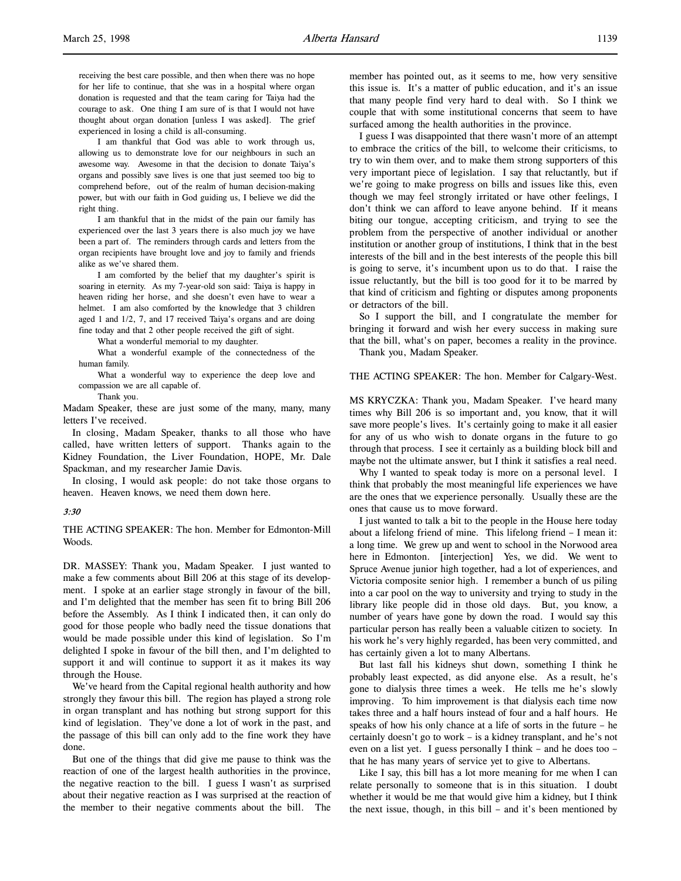receiving the best care possible, and then when there was no hope for her life to continue, that she was in a hospital where organ donation is requested and that the team caring for Taiya had the courage to ask. One thing I am sure of is that I would not have thought about organ donation [unless I was asked]. The grief experienced in losing a child is all-consuming.

I am thankful that God was able to work through us, allowing us to demonstrate love for our neighbours in such an awesome way. Awesome in that the decision to donate Taiya's organs and possibly save lives is one that just seemed too big to comprehend before, out of the realm of human decision-making power, but with our faith in God guiding us, I believe we did the right thing.

I am thankful that in the midst of the pain our family has experienced over the last 3 years there is also much joy we have been a part of. The reminders through cards and letters from the organ recipients have brought love and joy to family and friends alike as we've shared them.

I am comforted by the belief that my daughter's spirit is soaring in eternity. As my 7-year-old son said: Taiya is happy in heaven riding her horse, and she doesn't even have to wear a helmet. I am also comforted by the knowledge that 3 children aged 1 and 1/2, 7, and 17 received Taiya's organs and are doing fine today and that 2 other people received the gift of sight.

What a wonderful memorial to my daughter.

What a wonderful example of the connectedness of the human family.

What a wonderful way to experience the deep love and compassion we are all capable of.

Thank you.

Madam Speaker, these are just some of the many, many, many letters I've received.

In closing, Madam Speaker, thanks to all those who have called, have written letters of support. Thanks again to the Kidney Foundation, the Liver Foundation, HOPE, Mr. Dale Spackman, and my researcher Jamie Davis.

In closing, I would ask people: do not take those organs to heaven. Heaven knows, we need them down here.

#### 3:30

THE ACTING SPEAKER: The hon. Member for Edmonton-Mill Woods.

DR. MASSEY: Thank you, Madam Speaker. I just wanted to make a few comments about Bill 206 at this stage of its development. I spoke at an earlier stage strongly in favour of the bill, and I'm delighted that the member has seen fit to bring Bill 206 before the Assembly. As I think I indicated then, it can only do good for those people who badly need the tissue donations that would be made possible under this kind of legislation. So I'm delighted I spoke in favour of the bill then, and I'm delighted to support it and will continue to support it as it makes its way through the House.

We've heard from the Capital regional health authority and how strongly they favour this bill. The region has played a strong role in organ transplant and has nothing but strong support for this kind of legislation. They've done a lot of work in the past, and the passage of this bill can only add to the fine work they have done.

But one of the things that did give me pause to think was the reaction of one of the largest health authorities in the province, the negative reaction to the bill. I guess I wasn't as surprised about their negative reaction as I was surprised at the reaction of the member to their negative comments about the bill. The

member has pointed out, as it seems to me, how very sensitive this issue is. It's a matter of public education, and it's an issue that many people find very hard to deal with. So I think we couple that with some institutional concerns that seem to have surfaced among the health authorities in the province.

I guess I was disappointed that there wasn't more of an attempt to embrace the critics of the bill, to welcome their criticisms, to try to win them over, and to make them strong supporters of this very important piece of legislation. I say that reluctantly, but if we're going to make progress on bills and issues like this, even though we may feel strongly irritated or have other feelings, I don't think we can afford to leave anyone behind. If it means biting our tongue, accepting criticism, and trying to see the problem from the perspective of another individual or another institution or another group of institutions, I think that in the best interests of the bill and in the best interests of the people this bill is going to serve, it's incumbent upon us to do that. I raise the issue reluctantly, but the bill is too good for it to be marred by that kind of criticism and fighting or disputes among proponents or detractors of the bill.

So I support the bill, and I congratulate the member for bringing it forward and wish her every success in making sure that the bill, what's on paper, becomes a reality in the province. Thank you, Madam Speaker.

THE ACTING SPEAKER: The hon. Member for Calgary-West.

MS KRYCZKA: Thank you, Madam Speaker. I've heard many times why Bill 206 is so important and, you know, that it will save more people's lives. It's certainly going to make it all easier for any of us who wish to donate organs in the future to go through that process. I see it certainly as a building block bill and maybe not the ultimate answer, but I think it satisfies a real need.

Why I wanted to speak today is more on a personal level. I think that probably the most meaningful life experiences we have are the ones that we experience personally. Usually these are the ones that cause us to move forward.

I just wanted to talk a bit to the people in the House here today about a lifelong friend of mine. This lifelong friend – I mean it: a long time. We grew up and went to school in the Norwood area here in Edmonton. [interjection] Yes, we did. We went to Spruce Avenue junior high together, had a lot of experiences, and Victoria composite senior high. I remember a bunch of us piling into a car pool on the way to university and trying to study in the library like people did in those old days. But, you know, a number of years have gone by down the road. I would say this particular person has really been a valuable citizen to society. In his work he's very highly regarded, has been very committed, and has certainly given a lot to many Albertans.

But last fall his kidneys shut down, something I think he probably least expected, as did anyone else. As a result, he's gone to dialysis three times a week. He tells me he's slowly improving. To him improvement is that dialysis each time now takes three and a half hours instead of four and a half hours. He speaks of how his only chance at a life of sorts in the future – he certainly doesn't go to work – is a kidney transplant, and he's not even on a list yet. I guess personally I think – and he does too – that he has many years of service yet to give to Albertans.

Like I say, this bill has a lot more meaning for me when I can relate personally to someone that is in this situation. I doubt whether it would be me that would give him a kidney, but I think the next issue, though, in this bill – and it's been mentioned by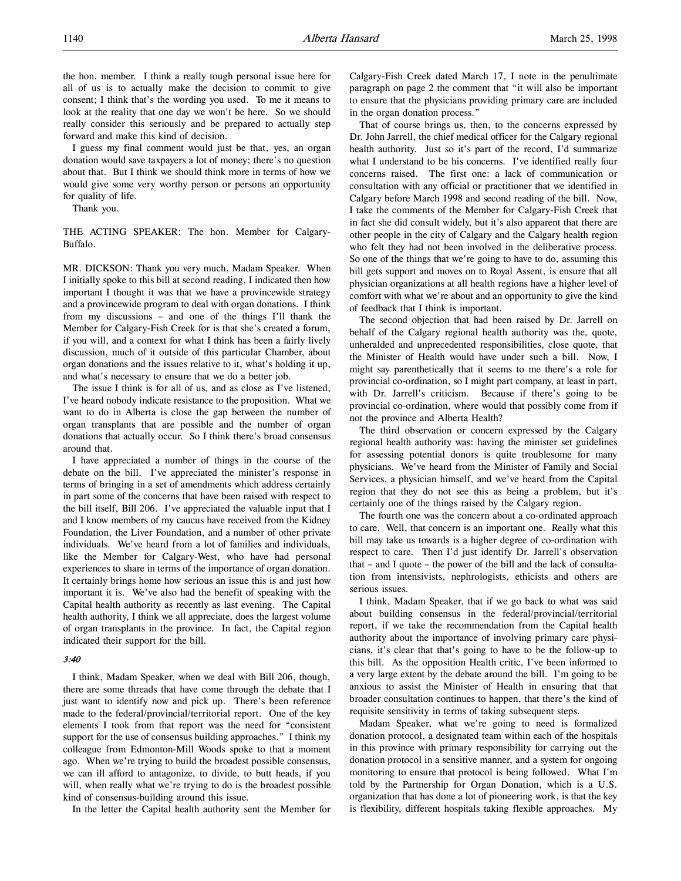the hon. member. I think a really tough personal issue here for all of us is to actually make the decision to commit to give consent; I think that's the wording you used. To me it means to look at the reality that one day we won't be here. So we should really consider this seriously and be prepared to actually step forward and make this kind of decision.

I guess my final comment would just be that, yes, an organ donation would save taxpayers a lot of money; there's no question about that. But I think we should think more in terms of how we would give some very worthy person or persons an opportunity for quality of life.

Thank you.

THE ACTING SPEAKER: The hon. Member for Calgary-Buffalo.

MR. DICKSON: Thank you very much, Madam Speaker. When I initially spoke to this bill at second reading, I indicated then how important I thought it was that we have a provincewide strategy and a provincewide program to deal with organ donations. I think from my discussions – and one of the things I'll thank the Member for Calgary-Fish Creek for is that she's created a forum, if you will, and a context for what I think has been a fairly lively discussion, much of it outside of this particular Chamber, about organ donations and the issues relative to it, what's holding it up, and what's necessary to ensure that we do a better job.

The issue I think is for all of us, and as close as I've listened, I've heard nobody indicate resistance to the proposition. What we want to do in Alberta is close the gap between the number of organ transplants that are possible and the number of organ donations that actually occur. So I think there's broad consensus around that.

I have appreciated a number of things in the course of the debate on the bill. I've appreciated the minister's response in terms of bringing in a set of amendments which address certainly in part some of the concerns that have been raised with respect to the bill itself, Bill 206. I've appreciated the valuable input that I and I know members of my caucus have received from the Kidney Foundation, the Liver Foundation, and a number of other private individuals. We've heard from a lot of families and individuals, like the Member for Calgary-West, who have had personal experiences to share in terms of the importance of organ donation. It certainly brings home how serious an issue this is and just how important it is. We've also had the benefit of speaking with the Capital health authority as recently as last evening. The Capital health authority, I think we all appreciate, does the largest volume of organ transplants in the province. In fact, the Capital region indicated their support for the bill.

## 3:40

I think, Madam Speaker, when we deal with Bill 206, though, there are some threads that have come through the debate that I just want to identify now and pick up. There's been reference made to the federal/provincial/territorial report. One of the key elements I took from that report was the need for "consistent support for the use of consensus building approaches." I think my colleague from Edmonton-Mill Woods spoke to that a moment ago. When we're trying to build the broadest possible consensus, we can ill afford to antagonize, to divide, to butt heads, if you will, when really what we're trying to do is the broadest possible kind of consensus-building around this issue.

In the letter the Capital health authority sent the Member for

Calgary-Fish Creek dated March 17, I note in the penultimate paragraph on page 2 the comment that "it will also be important to ensure that the physicians providing primary care are included in the organ donation process."

That of course brings us, then, to the concerns expressed by Dr. John Jarrell, the chief medical officer for the Calgary regional health authority. Just so it's part of the record, I'd summarize what I understand to be his concerns. I've identified really four concerns raised. The first one: a lack of communication or consultation with any official or practitioner that we identified in Calgary before March 1998 and second reading of the bill. Now, I take the comments of the Member for Calgary-Fish Creek that in fact she did consult widely, but it's also apparent that there are other people in the city of Calgary and the Calgary health region who felt they had not been involved in the deliberative process. So one of the things that we're going to have to do, assuming this bill gets support and moves on to Royal Assent, is ensure that all physician organizations at all health regions have a higher level of comfort with what we're about and an opportunity to give the kind of feedback that I think is important.

The second objection that had been raised by Dr. Jarrell on behalf of the Calgary regional health authority was the, quote, unheralded and unprecedented responsibilities, close quote, that the Minister of Health would have under such a bill. Now, I might say parenthetically that it seems to me there's a role for provincial co-ordination, so I might part company, at least in part, with Dr. Jarrell's criticism. Because if there's going to be provincial co-ordination, where would that possibly come from if not the province and Alberta Health?

The third observation or concern expressed by the Calgary regional health authority was: having the minister set guidelines for assessing potential donors is quite troublesome for many physicians. We've heard from the Minister of Family and Social Services, a physician himself, and we've heard from the Capital region that they do not see this as being a problem, but it's certainly one of the things raised by the Calgary region.

The fourth one was the concern about a co-ordinated approach to care. Well, that concern is an important one. Really what this bill may take us towards is a higher degree of co-ordination with respect to care. Then I'd just identify Dr. Jarrell's observation that – and I quote – the power of the bill and the lack of consultation from intensivists, nephrologists, ethicists and others are serious issues.

I think, Madam Speaker, that if we go back to what was said about building consensus in the federal/provincial/territorial report, if we take the recommendation from the Capital health authority about the importance of involving primary care physicians, it's clear that that's going to have to be the follow-up to this bill. As the opposition Health critic, I've been informed to a very large extent by the debate around the bill. I'm going to be anxious to assist the Minister of Health in ensuring that that broader consultation continues to happen, that there's the kind of requisite sensitivity in terms of taking subsequent steps.

Madam Speaker, what we're going to need is formalized donation protocol, a designated team within each of the hospitals in this province with primary responsibility for carrying out the donation protocol in a sensitive manner, and a system for ongoing monitoring to ensure that protocol is being followed. What I'm told by the Partnership for Organ Donation, which is a U.S. organization that has done a lot of pioneering work, is that the key is flexibility, different hospitals taking flexible approaches. My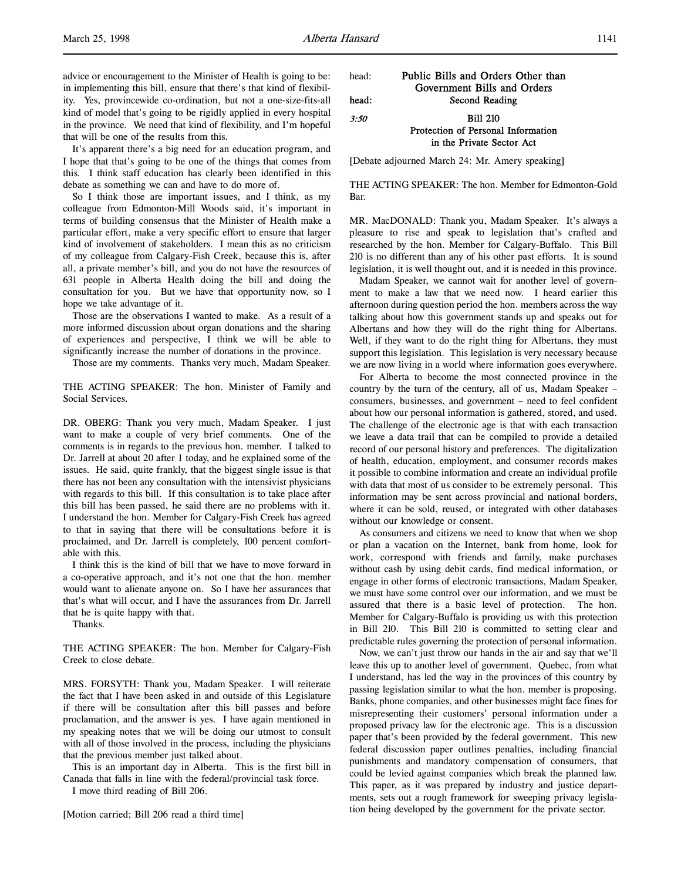advice or encouragement to the Minister of Health is going to be: in implementing this bill, ensure that there's that kind of flexibility. Yes, provincewide co-ordination, but not a one-size-fits-all kind of model that's going to be rigidly applied in every hospital in the province. We need that kind of flexibility, and I'm hopeful that will be one of the results from this.

It's apparent there's a big need for an education program, and I hope that that's going to be one of the things that comes from this. I think staff education has clearly been identified in this debate as something we can and have to do more of.

So I think those are important issues, and I think, as my colleague from Edmonton-Mill Woods said, it's important in terms of building consensus that the Minister of Health make a particular effort, make a very specific effort to ensure that larger kind of involvement of stakeholders. I mean this as no criticism of my colleague from Calgary-Fish Creek, because this is, after all, a private member's bill, and you do not have the resources of 631 people in Alberta Health doing the bill and doing the consultation for you. But we have that opportunity now, so I hope we take advantage of it.

Those are the observations I wanted to make. As a result of a more informed discussion about organ donations and the sharing of experiences and perspective, I think we will be able to significantly increase the number of donations in the province.

Those are my comments. Thanks very much, Madam Speaker.

THE ACTING SPEAKER: The hon. Minister of Family and Social Services.

DR. OBERG: Thank you very much, Madam Speaker. I just want to make a couple of very brief comments. One of the comments is in regards to the previous hon. member. I talked to Dr. Jarrell at about 20 after 1 today, and he explained some of the issues. He said, quite frankly, that the biggest single issue is that there has not been any consultation with the intensivist physicians with regards to this bill. If this consultation is to take place after this bill has been passed, he said there are no problems with it. I understand the hon. Member for Calgary-Fish Creek has agreed to that in saying that there will be consultations before it is proclaimed, and Dr. Jarrell is completely, 100 percent comfortable with this.

I think this is the kind of bill that we have to move forward in a co-operative approach, and it's not one that the hon. member would want to alienate anyone on. So I have her assurances that that's what will occur, and I have the assurances from Dr. Jarrell that he is quite happy with that.

Thanks.

THE ACTING SPEAKER: The hon. Member for Calgary-Fish Creek to close debate.

MRS. FORSYTH: Thank you, Madam Speaker. I will reiterate the fact that I have been asked in and outside of this Legislature if there will be consultation after this bill passes and before proclamation, and the answer is yes. I have again mentioned in my speaking notes that we will be doing our utmost to consult with all of those involved in the process, including the physicians that the previous member just talked about.

This is an important day in Alberta. This is the first bill in Canada that falls in line with the federal/provincial task force.

I move third reading of Bill 206.

| head: | Public Bills and Orders Other than |  |
|-------|------------------------------------|--|
|       | Government Bills and Orders        |  |
| head: | Second Reading                     |  |
| 3:50  | <b>Bill 210</b>                    |  |
|       | Protection of Personal Information |  |
|       | in the Private Sector Act          |  |

[Debate adjourned March 24: Mr. Amery speaking]

THE ACTING SPEAKER: The hon. Member for Edmonton-Gold Bar.

MR. MacDONALD: Thank you, Madam Speaker. It's always a pleasure to rise and speak to legislation that's crafted and researched by the hon. Member for Calgary-Buffalo. This Bill 210 is no different than any of his other past efforts. It is sound legislation, it is well thought out, and it is needed in this province.

Madam Speaker, we cannot wait for another level of government to make a law that we need now. I heard earlier this afternoon during question period the hon. members across the way talking about how this government stands up and speaks out for Albertans and how they will do the right thing for Albertans. Well, if they want to do the right thing for Albertans, they must support this legislation. This legislation is very necessary because we are now living in a world where information goes everywhere.

For Alberta to become the most connected province in the country by the turn of the century, all of us, Madam Speaker – consumers, businesses, and government – need to feel confident about how our personal information is gathered, stored, and used. The challenge of the electronic age is that with each transaction we leave a data trail that can be compiled to provide a detailed record of our personal history and preferences. The digitalization of health, education, employment, and consumer records makes it possible to combine information and create an individual profile with data that most of us consider to be extremely personal. This information may be sent across provincial and national borders, where it can be sold, reused, or integrated with other databases without our knowledge or consent.

As consumers and citizens we need to know that when we shop or plan a vacation on the Internet, bank from home, look for work, correspond with friends and family, make purchases without cash by using debit cards, find medical information, or engage in other forms of electronic transactions, Madam Speaker, we must have some control over our information, and we must be assured that there is a basic level of protection. The hon. Member for Calgary-Buffalo is providing us with this protection in Bill 210. This Bill 210 is committed to setting clear and predictable rules governing the protection of personal information.

Now, we can't just throw our hands in the air and say that we'll leave this up to another level of government. Quebec, from what I understand, has led the way in the provinces of this country by passing legislation similar to what the hon. member is proposing. Banks, phone companies, and other businesses might face fines for misrepresenting their customers' personal information under a proposed privacy law for the electronic age. This is a discussion paper that's been provided by the federal government. This new federal discussion paper outlines penalties, including financial punishments and mandatory compensation of consumers, that could be levied against companies which break the planned law. This paper, as it was prepared by industry and justice departments, sets out a rough framework for sweeping privacy legislation being developed by the government for the private sector.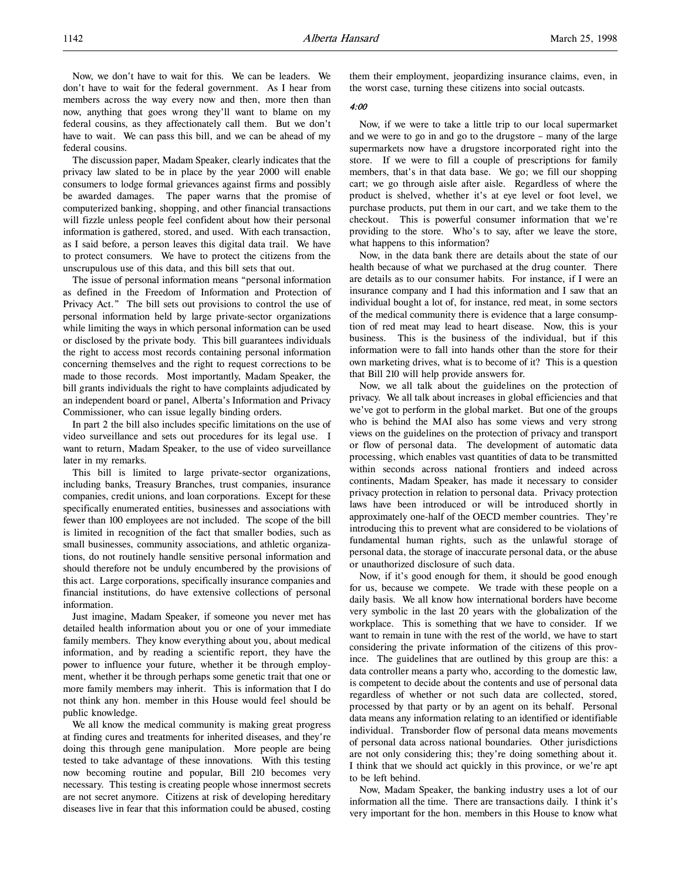Now, we don't have to wait for this. We can be leaders. We don't have to wait for the federal government. As I hear from members across the way every now and then, more then than now, anything that goes wrong they'll want to blame on my federal cousins, as they affectionately call them. But we don't have to wait. We can pass this bill, and we can be ahead of my federal cousins.

The discussion paper, Madam Speaker, clearly indicates that the privacy law slated to be in place by the year 2000 will enable consumers to lodge formal grievances against firms and possibly be awarded damages. The paper warns that the promise of computerized banking, shopping, and other financial transactions will fizzle unless people feel confident about how their personal information is gathered, stored, and used. With each transaction, as I said before, a person leaves this digital data trail. We have to protect consumers. We have to protect the citizens from the unscrupulous use of this data, and this bill sets that out.

The issue of personal information means "personal information as defined in the Freedom of Information and Protection of Privacy Act." The bill sets out provisions to control the use of personal information held by large private-sector organizations while limiting the ways in which personal information can be used or disclosed by the private body. This bill guarantees individuals the right to access most records containing personal information concerning themselves and the right to request corrections to be made to those records. Most importantly, Madam Speaker, the bill grants individuals the right to have complaints adjudicated by an independent board or panel, Alberta's Information and Privacy Commissioner, who can issue legally binding orders.

In part 2 the bill also includes specific limitations on the use of video surveillance and sets out procedures for its legal use. I want to return, Madam Speaker, to the use of video surveillance later in my remarks.

This bill is limited to large private-sector organizations, including banks, Treasury Branches, trust companies, insurance companies, credit unions, and loan corporations. Except for these specifically enumerated entities, businesses and associations with fewer than 100 employees are not included. The scope of the bill is limited in recognition of the fact that smaller bodies, such as small businesses, community associations, and athletic organizations, do not routinely handle sensitive personal information and should therefore not be unduly encumbered by the provisions of this act. Large corporations, specifically insurance companies and financial institutions, do have extensive collections of personal information.

Just imagine, Madam Speaker, if someone you never met has detailed health information about you or one of your immediate family members. They know everything about you, about medical information, and by reading a scientific report, they have the power to influence your future, whether it be through employment, whether it be through perhaps some genetic trait that one or more family members may inherit. This is information that I do not think any hon. member in this House would feel should be public knowledge.

We all know the medical community is making great progress at finding cures and treatments for inherited diseases, and they're doing this through gene manipulation. More people are being tested to take advantage of these innovations. With this testing now becoming routine and popular, Bill 210 becomes very necessary. This testing is creating people whose innermost secrets are not secret anymore. Citizens at risk of developing hereditary diseases live in fear that this information could be abused, costing

them their employment, jeopardizing insurance claims, even, in the worst case, turning these citizens into social outcasts.

#### 4:00

Now, if we were to take a little trip to our local supermarket and we were to go in and go to the drugstore – many of the large supermarkets now have a drugstore incorporated right into the store. If we were to fill a couple of prescriptions for family members, that's in that data base. We go; we fill our shopping cart; we go through aisle after aisle. Regardless of where the product is shelved, whether it's at eye level or foot level, we purchase products, put them in our cart, and we take them to the checkout. This is powerful consumer information that we're providing to the store. Who's to say, after we leave the store, what happens to this information?

Now, in the data bank there are details about the state of our health because of what we purchased at the drug counter. There are details as to our consumer habits. For instance, if I were an insurance company and I had this information and I saw that an individual bought a lot of, for instance, red meat, in some sectors of the medical community there is evidence that a large consumption of red meat may lead to heart disease. Now, this is your business. This is the business of the individual, but if this information were to fall into hands other than the store for their own marketing drives, what is to become of it? This is a question that Bill 210 will help provide answers for.

Now, we all talk about the guidelines on the protection of privacy. We all talk about increases in global efficiencies and that we've got to perform in the global market. But one of the groups who is behind the MAI also has some views and very strong views on the guidelines on the protection of privacy and transport or flow of personal data. The development of automatic data processing, which enables vast quantities of data to be transmitted within seconds across national frontiers and indeed across continents, Madam Speaker, has made it necessary to consider privacy protection in relation to personal data. Privacy protection laws have been introduced or will be introduced shortly in approximately one-half of the OECD member countries. They're introducing this to prevent what are considered to be violations of fundamental human rights, such as the unlawful storage of personal data, the storage of inaccurate personal data, or the abuse or unauthorized disclosure of such data.

Now, if it's good enough for them, it should be good enough for us, because we compete. We trade with these people on a daily basis. We all know how international borders have become very symbolic in the last 20 years with the globalization of the workplace. This is something that we have to consider. If we want to remain in tune with the rest of the world, we have to start considering the private information of the citizens of this province. The guidelines that are outlined by this group are this: a data controller means a party who, according to the domestic law, is competent to decide about the contents and use of personal data regardless of whether or not such data are collected, stored, processed by that party or by an agent on its behalf. Personal data means any information relating to an identified or identifiable individual. Transborder flow of personal data means movements of personal data across national boundaries. Other jurisdictions are not only considering this; they're doing something about it. I think that we should act quickly in this province, or we're apt to be left behind.

Now, Madam Speaker, the banking industry uses a lot of our information all the time. There are transactions daily. I think it's very important for the hon. members in this House to know what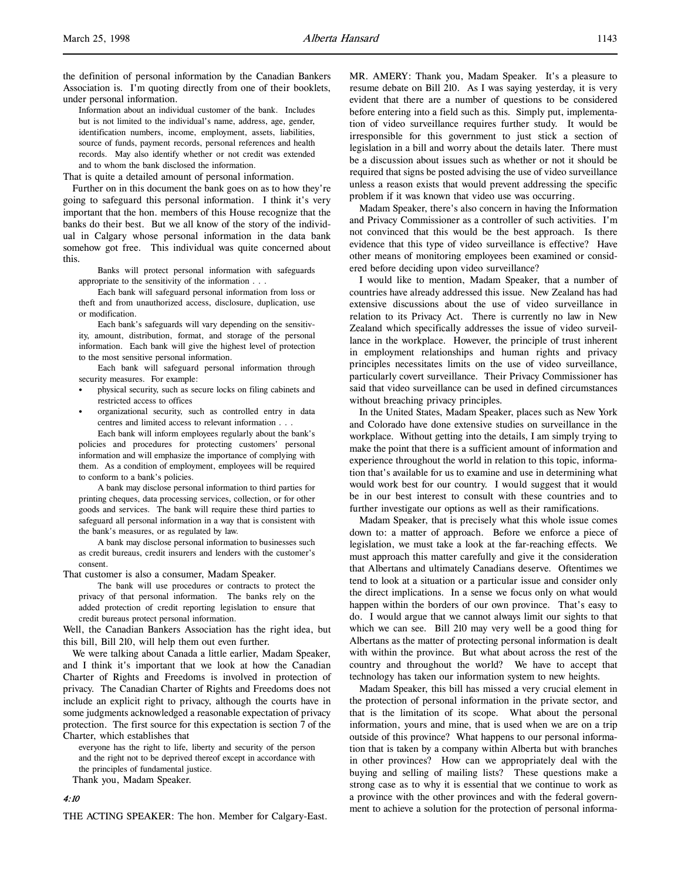the definition of personal information by the Canadian Bankers Association is. I'm quoting directly from one of their booklets, under personal information.

Information about an individual customer of the bank. Includes but is not limited to the individual's name, address, age, gender, identification numbers, income, employment, assets, liabilities, source of funds, payment records, personal references and health records. May also identify whether or not credit was extended and to whom the bank disclosed the information.

That is quite a detailed amount of personal information.

Further on in this document the bank goes on as to how they're going to safeguard this personal information. I think it's very important that the hon. members of this House recognize that the banks do their best. But we all know of the story of the individual in Calgary whose personal information in the data bank somehow got free. This individual was quite concerned about this.

Banks will protect personal information with safeguards appropriate to the sensitivity of the information . . .

Each bank will safeguard personal information from loss or theft and from unauthorized access, disclosure, duplication, use or modification.

Each bank's safeguards will vary depending on the sensitivity, amount, distribution, format, and storage of the personal information. Each bank will give the highest level of protection to the most sensitive personal information.

Each bank will safeguard personal information through security measures. For example:

- physical security, such as secure locks on filing cabinets and restricted access to offices
- organizational security, such as controlled entry in data centres and limited access to relevant information . . .

Each bank will inform employees regularly about the bank's policies and procedures for protecting customers' personal information and will emphasize the importance of complying with them. As a condition of employment, employees will be required to conform to a bank's policies.

A bank may disclose personal information to third parties for printing cheques, data processing services, collection, or for other goods and services. The bank will require these third parties to safeguard all personal information in a way that is consistent with the bank's measures, or as regulated by law.

A bank may disclose personal information to businesses such as credit bureaus, credit insurers and lenders with the customer's consent.

That customer is also a consumer, Madam Speaker.

The bank will use procedures or contracts to protect the privacy of that personal information. The banks rely on the added protection of credit reporting legislation to ensure that credit bureaus protect personal information.

Well, the Canadian Bankers Association has the right idea, but this bill, Bill 210, will help them out even further.

We were talking about Canada a little earlier, Madam Speaker, and I think it's important that we look at how the Canadian Charter of Rights and Freedoms is involved in protection of privacy. The Canadian Charter of Rights and Freedoms does not include an explicit right to privacy, although the courts have in some judgments acknowledged a reasonable expectation of privacy protection. The first source for this expectation is section 7 of the Charter, which establishes that

everyone has the right to life, liberty and security of the person and the right not to be deprived thereof except in accordance with the principles of fundamental justice. Thank you, Madam Speaker.

4:10

THE ACTING SPEAKER: The hon. Member for Calgary-East.

MR. AMERY: Thank you, Madam Speaker. It's a pleasure to resume debate on Bill 210. As I was saying yesterday, it is very evident that there are a number of questions to be considered before entering into a field such as this. Simply put, implementation of video surveillance requires further study. It would be irresponsible for this government to just stick a section of legislation in a bill and worry about the details later. There must be a discussion about issues such as whether or not it should be required that signs be posted advising the use of video surveillance unless a reason exists that would prevent addressing the specific problem if it was known that video use was occurring.

Madam Speaker, there's also concern in having the Information and Privacy Commissioner as a controller of such activities. I'm not convinced that this would be the best approach. Is there evidence that this type of video surveillance is effective? Have other means of monitoring employees been examined or considered before deciding upon video surveillance?

I would like to mention, Madam Speaker, that a number of countries have already addressed this issue. New Zealand has had extensive discussions about the use of video surveillance in relation to its Privacy Act. There is currently no law in New Zealand which specifically addresses the issue of video surveillance in the workplace. However, the principle of trust inherent in employment relationships and human rights and privacy principles necessitates limits on the use of video surveillance, particularly covert surveillance. Their Privacy Commissioner has said that video surveillance can be used in defined circumstances without breaching privacy principles.

In the United States, Madam Speaker, places such as New York and Colorado have done extensive studies on surveillance in the workplace. Without getting into the details, I am simply trying to make the point that there is a sufficient amount of information and experience throughout the world in relation to this topic, information that's available for us to examine and use in determining what would work best for our country. I would suggest that it would be in our best interest to consult with these countries and to further investigate our options as well as their ramifications.

Madam Speaker, that is precisely what this whole issue comes down to: a matter of approach. Before we enforce a piece of legislation, we must take a look at the far-reaching effects. We must approach this matter carefully and give it the consideration that Albertans and ultimately Canadians deserve. Oftentimes we tend to look at a situation or a particular issue and consider only the direct implications. In a sense we focus only on what would happen within the borders of our own province. That's easy to do. I would argue that we cannot always limit our sights to that which we can see. Bill 210 may very well be a good thing for Albertans as the matter of protecting personal information is dealt with within the province. But what about across the rest of the country and throughout the world? We have to accept that technology has taken our information system to new heights.

Madam Speaker, this bill has missed a very crucial element in the protection of personal information in the private sector, and that is the limitation of its scope. What about the personal information, yours and mine, that is used when we are on a trip outside of this province? What happens to our personal information that is taken by a company within Alberta but with branches in other provinces? How can we appropriately deal with the buying and selling of mailing lists? These questions make a strong case as to why it is essential that we continue to work as a province with the other provinces and with the federal government to achieve a solution for the protection of personal informa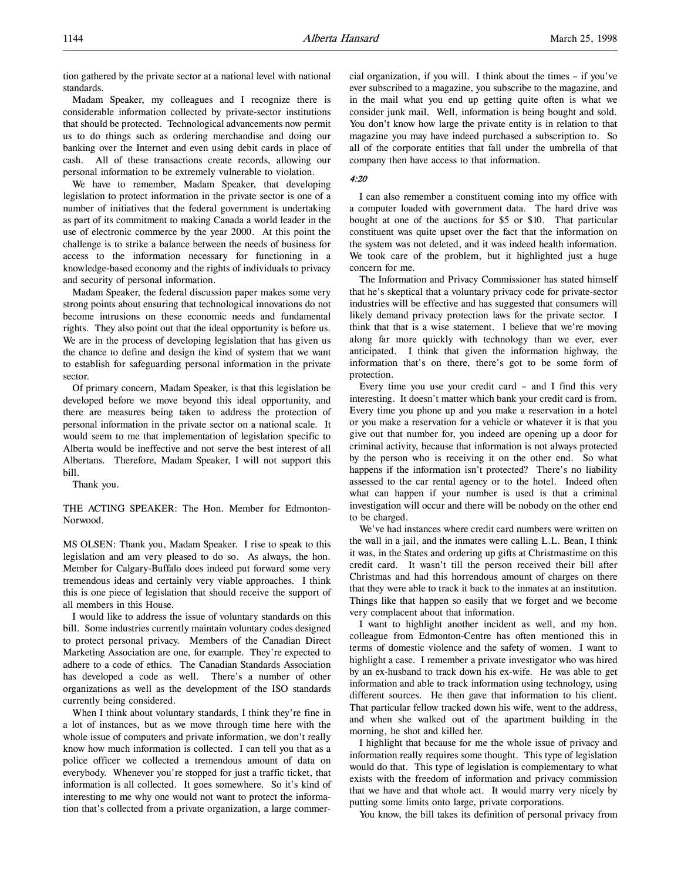tion gathered by the private sector at a national level with national standards.

Madam Speaker, my colleagues and I recognize there is considerable information collected by private-sector institutions that should be protected. Technological advancements now permit us to do things such as ordering merchandise and doing our banking over the Internet and even using debit cards in place of cash. All of these transactions create records, allowing our personal information to be extremely vulnerable to violation.

We have to remember, Madam Speaker, that developing legislation to protect information in the private sector is one of a number of initiatives that the federal government is undertaking as part of its commitment to making Canada a world leader in the use of electronic commerce by the year 2000. At this point the challenge is to strike a balance between the needs of business for access to the information necessary for functioning in a knowledge-based economy and the rights of individuals to privacy and security of personal information.

Madam Speaker, the federal discussion paper makes some very strong points about ensuring that technological innovations do not become intrusions on these economic needs and fundamental rights. They also point out that the ideal opportunity is before us. We are in the process of developing legislation that has given us the chance to define and design the kind of system that we want to establish for safeguarding personal information in the private sector.

Of primary concern, Madam Speaker, is that this legislation be developed before we move beyond this ideal opportunity, and there are measures being taken to address the protection of personal information in the private sector on a national scale. It would seem to me that implementation of legislation specific to Alberta would be ineffective and not serve the best interest of all Albertans. Therefore, Madam Speaker, I will not support this bill.

Thank you.

THE ACTING SPEAKER: The Hon. Member for Edmonton-Norwood.

MS OLSEN: Thank you, Madam Speaker. I rise to speak to this legislation and am very pleased to do so. As always, the hon. Member for Calgary-Buffalo does indeed put forward some very tremendous ideas and certainly very viable approaches. I think this is one piece of legislation that should receive the support of all members in this House.

I would like to address the issue of voluntary standards on this bill. Some industries currently maintain voluntary codes designed to protect personal privacy. Members of the Canadian Direct Marketing Association are one, for example. They're expected to adhere to a code of ethics. The Canadian Standards Association has developed a code as well. There's a number of other organizations as well as the development of the ISO standards currently being considered.

When I think about voluntary standards, I think they're fine in a lot of instances, but as we move through time here with the whole issue of computers and private information, we don't really know how much information is collected. I can tell you that as a police officer we collected a tremendous amount of data on everybody. Whenever you're stopped for just a traffic ticket, that information is all collected. It goes somewhere. So it's kind of interesting to me why one would not want to protect the information that's collected from a private organization, a large commercial organization, if you will. I think about the times – if you've ever subscribed to a magazine, you subscribe to the magazine, and in the mail what you end up getting quite often is what we consider junk mail. Well, information is being bought and sold. You don't know how large the private entity is in relation to that magazine you may have indeed purchased a subscription to. So all of the corporate entities that fall under the umbrella of that company then have access to that information.

#### 4:20

I can also remember a constituent coming into my office with a computer loaded with government data. The hard drive was bought at one of the auctions for \$5 or \$10. That particular constituent was quite upset over the fact that the information on the system was not deleted, and it was indeed health information. We took care of the problem, but it highlighted just a huge concern for me.

The Information and Privacy Commissioner has stated himself that he's skeptical that a voluntary privacy code for private-sector industries will be effective and has suggested that consumers will likely demand privacy protection laws for the private sector. I think that that is a wise statement. I believe that we're moving along far more quickly with technology than we ever, ever anticipated. I think that given the information highway, the information that's on there, there's got to be some form of protection.

Every time you use your credit card – and I find this very interesting. It doesn't matter which bank your credit card is from. Every time you phone up and you make a reservation in a hotel or you make a reservation for a vehicle or whatever it is that you give out that number for, you indeed are opening up a door for criminal activity, because that information is not always protected by the person who is receiving it on the other end. So what happens if the information isn't protected? There's no liability assessed to the car rental agency or to the hotel. Indeed often what can happen if your number is used is that a criminal investigation will occur and there will be nobody on the other end to be charged.

We've had instances where credit card numbers were written on the wall in a jail, and the inmates were calling L.L. Bean, I think it was, in the States and ordering up gifts at Christmastime on this credit card. It wasn't till the person received their bill after Christmas and had this horrendous amount of charges on there that they were able to track it back to the inmates at an institution. Things like that happen so easily that we forget and we become very complacent about that information.

I want to highlight another incident as well, and my hon. colleague from Edmonton-Centre has often mentioned this in terms of domestic violence and the safety of women. I want to highlight a case. I remember a private investigator who was hired by an ex-husband to track down his ex-wife. He was able to get information and able to track information using technology, using different sources. He then gave that information to his client. That particular fellow tracked down his wife, went to the address, and when she walked out of the apartment building in the morning, he shot and killed her.

I highlight that because for me the whole issue of privacy and information really requires some thought. This type of legislation would do that. This type of legislation is complementary to what exists with the freedom of information and privacy commission that we have and that whole act. It would marry very nicely by putting some limits onto large, private corporations.

You know, the bill takes its definition of personal privacy from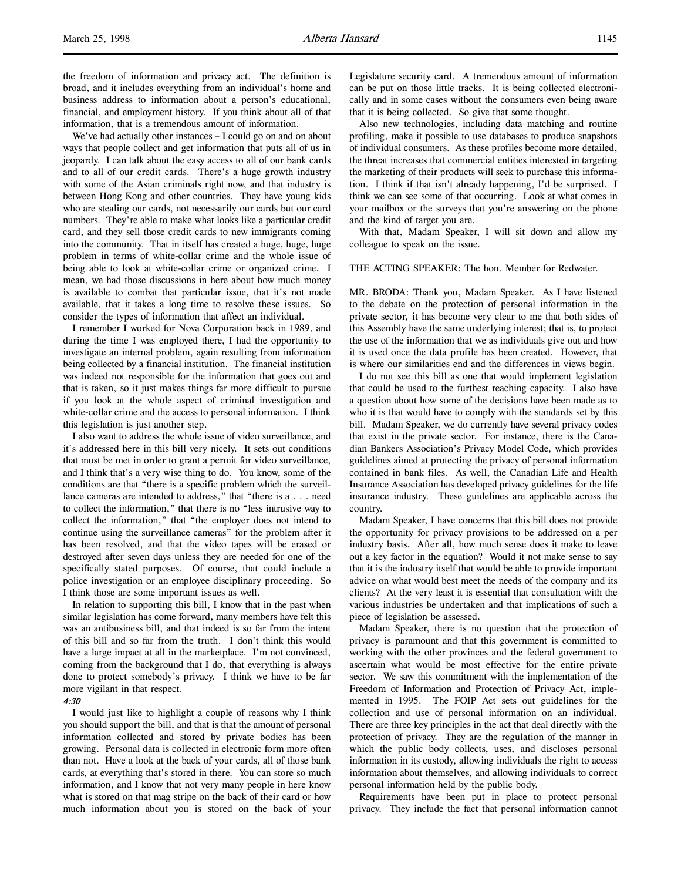the freedom of information and privacy act. The definition is broad, and it includes everything from an individual's home and business address to information about a person's educational, financial, and employment history. If you think about all of that information, that is a tremendous amount of information.

We've had actually other instances – I could go on and on about ways that people collect and get information that puts all of us in jeopardy. I can talk about the easy access to all of our bank cards and to all of our credit cards. There's a huge growth industry with some of the Asian criminals right now, and that industry is between Hong Kong and other countries. They have young kids who are stealing our cards, not necessarily our cards but our card numbers. They're able to make what looks like a particular credit card, and they sell those credit cards to new immigrants coming into the community. That in itself has created a huge, huge, huge problem in terms of white-collar crime and the whole issue of being able to look at white-collar crime or organized crime. I mean, we had those discussions in here about how much money is available to combat that particular issue, that it's not made available, that it takes a long time to resolve these issues. So consider the types of information that affect an individual.

I remember I worked for Nova Corporation back in 1989, and during the time I was employed there, I had the opportunity to investigate an internal problem, again resulting from information being collected by a financial institution. The financial institution was indeed not responsible for the information that goes out and that is taken, so it just makes things far more difficult to pursue if you look at the whole aspect of criminal investigation and white-collar crime and the access to personal information. I think this legislation is just another step.

I also want to address the whole issue of video surveillance, and it's addressed here in this bill very nicely. It sets out conditions that must be met in order to grant a permit for video surveillance, and I think that's a very wise thing to do. You know, some of the conditions are that "there is a specific problem which the surveillance cameras are intended to address," that "there is a . . . need to collect the information," that there is no "less intrusive way to collect the information," that "the employer does not intend to continue using the surveillance cameras" for the problem after it has been resolved, and that the video tapes will be erased or destroyed after seven days unless they are needed for one of the specifically stated purposes. Of course, that could include a police investigation or an employee disciplinary proceeding. So I think those are some important issues as well.

In relation to supporting this bill, I know that in the past when similar legislation has come forward, many members have felt this was an antibusiness bill, and that indeed is so far from the intent of this bill and so far from the truth. I don't think this would have a large impact at all in the marketplace. I'm not convinced, coming from the background that I do, that everything is always done to protect somebody's privacy. I think we have to be far more vigilant in that respect.

#### 4:30

I would just like to highlight a couple of reasons why I think you should support the bill, and that is that the amount of personal information collected and stored by private bodies has been growing. Personal data is collected in electronic form more often than not. Have a look at the back of your cards, all of those bank cards, at everything that's stored in there. You can store so much information, and I know that not very many people in here know what is stored on that mag stripe on the back of their card or how much information about you is stored on the back of your Legislature security card. A tremendous amount of information can be put on those little tracks. It is being collected electronically and in some cases without the consumers even being aware that it is being collected. So give that some thought.

Also new technologies, including data matching and routine profiling, make it possible to use databases to produce snapshots of individual consumers. As these profiles become more detailed, the threat increases that commercial entities interested in targeting the marketing of their products will seek to purchase this information. I think if that isn't already happening, I'd be surprised. I think we can see some of that occurring. Look at what comes in your mailbox or the surveys that you're answering on the phone and the kind of target you are.

With that, Madam Speaker, I will sit down and allow my colleague to speak on the issue.

## THE ACTING SPEAKER: The hon. Member for Redwater.

MR. BRODA: Thank you, Madam Speaker. As I have listened to the debate on the protection of personal information in the private sector, it has become very clear to me that both sides of this Assembly have the same underlying interest; that is, to protect the use of the information that we as individuals give out and how it is used once the data profile has been created. However, that is where our similarities end and the differences in views begin.

I do not see this bill as one that would implement legislation that could be used to the furthest reaching capacity. I also have a question about how some of the decisions have been made as to who it is that would have to comply with the standards set by this bill. Madam Speaker, we do currently have several privacy codes that exist in the private sector. For instance, there is the Canadian Bankers Association's Privacy Model Code, which provides guidelines aimed at protecting the privacy of personal information contained in bank files. As well, the Canadian Life and Health Insurance Association has developed privacy guidelines for the life insurance industry. These guidelines are applicable across the country.

Madam Speaker, I have concerns that this bill does not provide the opportunity for privacy provisions to be addressed on a per industry basis. After all, how much sense does it make to leave out a key factor in the equation? Would it not make sense to say that it is the industry itself that would be able to provide important advice on what would best meet the needs of the company and its clients? At the very least it is essential that consultation with the various industries be undertaken and that implications of such a piece of legislation be assessed.

Madam Speaker, there is no question that the protection of privacy is paramount and that this government is committed to working with the other provinces and the federal government to ascertain what would be most effective for the entire private sector. We saw this commitment with the implementation of the Freedom of Information and Protection of Privacy Act, implemented in 1995. The FOIP Act sets out guidelines for the collection and use of personal information on an individual. There are three key principles in the act that deal directly with the protection of privacy. They are the regulation of the manner in which the public body collects, uses, and discloses personal information in its custody, allowing individuals the right to access information about themselves, and allowing individuals to correct personal information held by the public body.

Requirements have been put in place to protect personal privacy. They include the fact that personal information cannot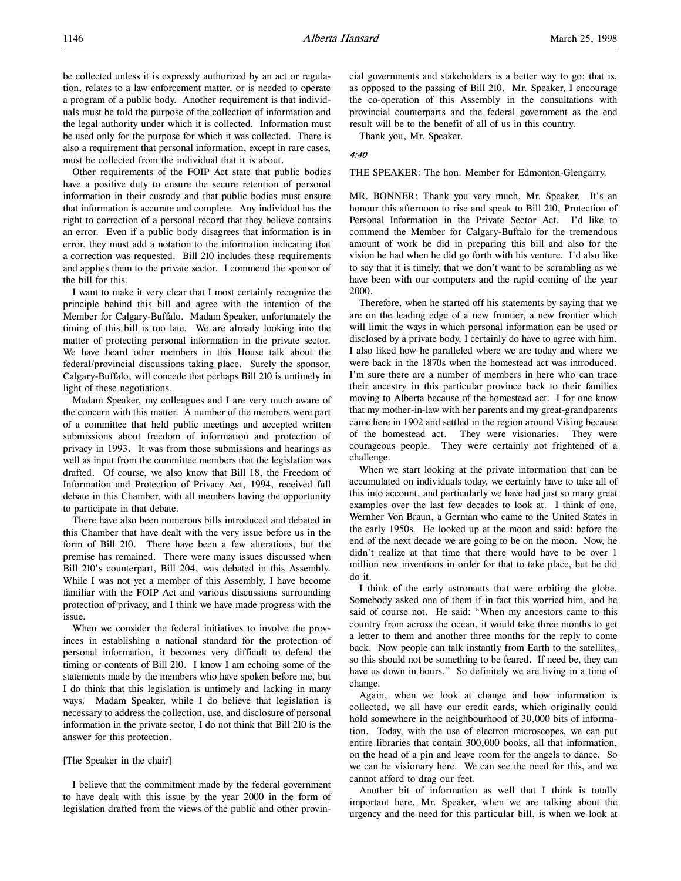be collected unless it is expressly authorized by an act or regulation, relates to a law enforcement matter, or is needed to operate a program of a public body. Another requirement is that individuals must be told the purpose of the collection of information and the legal authority under which it is collected. Information must be used only for the purpose for which it was collected. There is also a requirement that personal information, except in rare cases, must be collected from the individual that it is about.

Other requirements of the FOIP Act state that public bodies have a positive duty to ensure the secure retention of personal information in their custody and that public bodies must ensure that information is accurate and complete. Any individual has the right to correction of a personal record that they believe contains an error. Even if a public body disagrees that information is in error, they must add a notation to the information indicating that a correction was requested. Bill 210 includes these requirements and applies them to the private sector. I commend the sponsor of the bill for this.

I want to make it very clear that I most certainly recognize the principle behind this bill and agree with the intention of the Member for Calgary-Buffalo. Madam Speaker, unfortunately the timing of this bill is too late. We are already looking into the matter of protecting personal information in the private sector. We have heard other members in this House talk about the federal/provincial discussions taking place. Surely the sponsor, Calgary-Buffalo, will concede that perhaps Bill 210 is untimely in light of these negotiations.

Madam Speaker, my colleagues and I are very much aware of the concern with this matter. A number of the members were part of a committee that held public meetings and accepted written submissions about freedom of information and protection of privacy in 1993. It was from those submissions and hearings as well as input from the committee members that the legislation was drafted. Of course, we also know that Bill 18, the Freedom of Information and Protection of Privacy Act, 1994, received full debate in this Chamber, with all members having the opportunity to participate in that debate.

There have also been numerous bills introduced and debated in this Chamber that have dealt with the very issue before us in the form of Bill 210. There have been a few alterations, but the premise has remained. There were many issues discussed when Bill 210's counterpart, Bill 204, was debated in this Assembly. While I was not yet a member of this Assembly, I have become familiar with the FOIP Act and various discussions surrounding protection of privacy, and I think we have made progress with the issue.

When we consider the federal initiatives to involve the provinces in establishing a national standard for the protection of personal information, it becomes very difficult to defend the timing or contents of Bill 210. I know I am echoing some of the statements made by the members who have spoken before me, but I do think that this legislation is untimely and lacking in many ways. Madam Speaker, while I do believe that legislation is necessary to address the collection, use, and disclosure of personal information in the private sector, I do not think that Bill 210 is the answer for this protection.

#### [The Speaker in the chair]

I believe that the commitment made by the federal government to have dealt with this issue by the year 2000 in the form of legislation drafted from the views of the public and other provincial governments and stakeholders is a better way to go; that is, as opposed to the passing of Bill 210. Mr. Speaker, I encourage the co-operation of this Assembly in the consultations with provincial counterparts and the federal government as the end result will be to the benefit of all of us in this country.

Thank you, Mr. Speaker.

#### 4:40

THE SPEAKER: The hon. Member for Edmonton-Glengarry.

MR. BONNER: Thank you very much, Mr. Speaker. It's an honour this afternoon to rise and speak to Bill 210, Protection of Personal Information in the Private Sector Act. I'd like to commend the Member for Calgary-Buffalo for the tremendous amount of work he did in preparing this bill and also for the vision he had when he did go forth with his venture. I'd also like to say that it is timely, that we don't want to be scrambling as we have been with our computers and the rapid coming of the year 2000.

Therefore, when he started off his statements by saying that we are on the leading edge of a new frontier, a new frontier which will limit the ways in which personal information can be used or disclosed by a private body, I certainly do have to agree with him. I also liked how he paralleled where we are today and where we were back in the 1870s when the homestead act was introduced. I'm sure there are a number of members in here who can trace their ancestry in this particular province back to their families moving to Alberta because of the homestead act. I for one know that my mother-in-law with her parents and my great-grandparents came here in 1902 and settled in the region around Viking because of the homestead act. They were visionaries. They were courageous people. They were certainly not frightened of a challenge.

When we start looking at the private information that can be accumulated on individuals today, we certainly have to take all of this into account, and particularly we have had just so many great examples over the last few decades to look at. I think of one, Wernher Von Braun, a German who came to the United States in the early 1950s. He looked up at the moon and said: before the end of the next decade we are going to be on the moon. Now, he didn't realize at that time that there would have to be over 1 million new inventions in order for that to take place, but he did do it.

I think of the early astronauts that were orbiting the globe. Somebody asked one of them if in fact this worried him, and he said of course not. He said: "When my ancestors came to this country from across the ocean, it would take three months to get a letter to them and another three months for the reply to come back. Now people can talk instantly from Earth to the satellites, so this should not be something to be feared. If need be, they can have us down in hours." So definitely we are living in a time of change.

Again, when we look at change and how information is collected, we all have our credit cards, which originally could hold somewhere in the neighbourhood of 30,000 bits of information. Today, with the use of electron microscopes, we can put entire libraries that contain 300,000 books, all that information, on the head of a pin and leave room for the angels to dance. So we can be visionary here. We can see the need for this, and we cannot afford to drag our feet.

Another bit of information as well that I think is totally important here, Mr. Speaker, when we are talking about the urgency and the need for this particular bill, is when we look at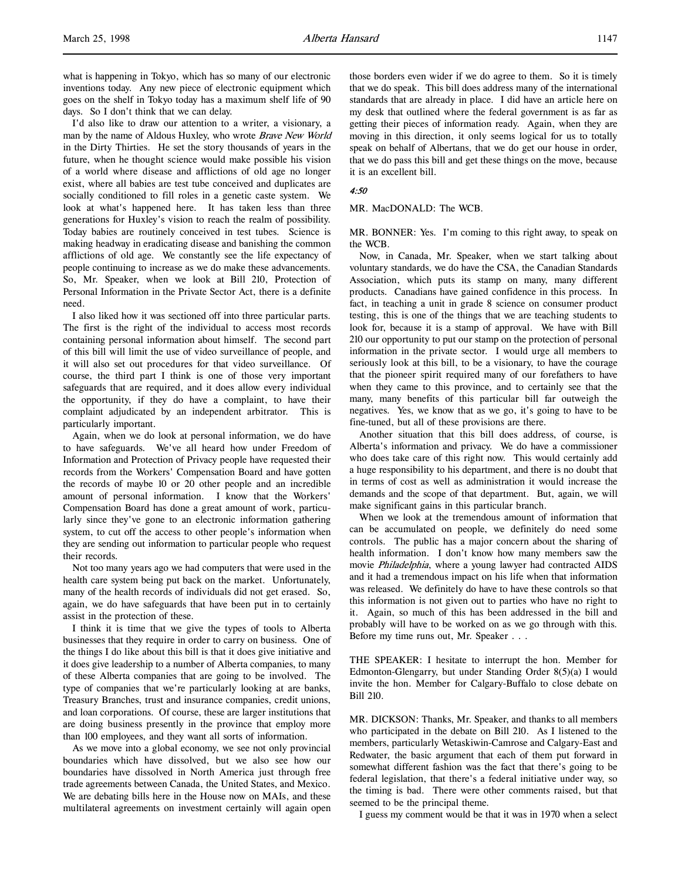I'd also like to draw our attention to a writer, a visionary, a man by the name of Aldous Huxley, who wrote Brave New World in the Dirty Thirties. He set the story thousands of years in the future, when he thought science would make possible his vision of a world where disease and afflictions of old age no longer exist, where all babies are test tube conceived and duplicates are socially conditioned to fill roles in a genetic caste system. We look at what's happened here. It has taken less than three generations for Huxley's vision to reach the realm of possibility. Today babies are routinely conceived in test tubes. Science is making headway in eradicating disease and banishing the common afflictions of old age. We constantly see the life expectancy of people continuing to increase as we do make these advancements. So, Mr. Speaker, when we look at Bill 210, Protection of Personal Information in the Private Sector Act, there is a definite need.

I also liked how it was sectioned off into three particular parts. The first is the right of the individual to access most records containing personal information about himself. The second part of this bill will limit the use of video surveillance of people, and it will also set out procedures for that video surveillance. Of course, the third part I think is one of those very important safeguards that are required, and it does allow every individual the opportunity, if they do have a complaint, to have their complaint adjudicated by an independent arbitrator. This is particularly important.

Again, when we do look at personal information, we do have to have safeguards. We've all heard how under Freedom of Information and Protection of Privacy people have requested their records from the Workers' Compensation Board and have gotten the records of maybe 10 or 20 other people and an incredible amount of personal information. I know that the Workers' Compensation Board has done a great amount of work, particularly since they've gone to an electronic information gathering system, to cut off the access to other people's information when they are sending out information to particular people who request their records.

Not too many years ago we had computers that were used in the health care system being put back on the market. Unfortunately, many of the health records of individuals did not get erased. So, again, we do have safeguards that have been put in to certainly assist in the protection of these.

I think it is time that we give the types of tools to Alberta businesses that they require in order to carry on business. One of the things I do like about this bill is that it does give initiative and it does give leadership to a number of Alberta companies, to many of these Alberta companies that are going to be involved. The type of companies that we're particularly looking at are banks, Treasury Branches, trust and insurance companies, credit unions, and loan corporations. Of course, these are larger institutions that are doing business presently in the province that employ more than 100 employees, and they want all sorts of information.

As we move into a global economy, we see not only provincial boundaries which have dissolved, but we also see how our boundaries have dissolved in North America just through free trade agreements between Canada, the United States, and Mexico. We are debating bills here in the House now on MAIs, and these multilateral agreements on investment certainly will again open

those borders even wider if we do agree to them. So it is timely that we do speak. This bill does address many of the international standards that are already in place. I did have an article here on my desk that outlined where the federal government is as far as getting their pieces of information ready. Again, when they are moving in this direction, it only seems logical for us to totally speak on behalf of Albertans, that we do get our house in order, that we do pass this bill and get these things on the move, because it is an excellent bill.

## 4:50

MR. MacDONALD: The WCB.

MR. BONNER: Yes. I'm coming to this right away, to speak on the WCB.

Now, in Canada, Mr. Speaker, when we start talking about voluntary standards, we do have the CSA, the Canadian Standards Association, which puts its stamp on many, many different products. Canadians have gained confidence in this process. In fact, in teaching a unit in grade 8 science on consumer product testing, this is one of the things that we are teaching students to look for, because it is a stamp of approval. We have with Bill 210 our opportunity to put our stamp on the protection of personal information in the private sector. I would urge all members to seriously look at this bill, to be a visionary, to have the courage that the pioneer spirit required many of our forefathers to have when they came to this province, and to certainly see that the many, many benefits of this particular bill far outweigh the negatives. Yes, we know that as we go, it's going to have to be fine-tuned, but all of these provisions are there.

Another situation that this bill does address, of course, is Alberta's information and privacy. We do have a commissioner who does take care of this right now. This would certainly add a huge responsibility to his department, and there is no doubt that in terms of cost as well as administration it would increase the demands and the scope of that department. But, again, we will make significant gains in this particular branch.

When we look at the tremendous amount of information that can be accumulated on people, we definitely do need some controls. The public has a major concern about the sharing of health information. I don't know how many members saw the movie Philadelphia, where a young lawyer had contracted AIDS and it had a tremendous impact on his life when that information was released. We definitely do have to have these controls so that this information is not given out to parties who have no right to it. Again, so much of this has been addressed in the bill and probably will have to be worked on as we go through with this. Before my time runs out, Mr. Speaker . . .

THE SPEAKER: I hesitate to interrupt the hon. Member for Edmonton-Glengarry, but under Standing Order 8(5)(a) I would invite the hon. Member for Calgary-Buffalo to close debate on Bill 210.

MR. DICKSON: Thanks, Mr. Speaker, and thanks to all members who participated in the debate on Bill 210. As I listened to the members, particularly Wetaskiwin-Camrose and Calgary-East and Redwater, the basic argument that each of them put forward in somewhat different fashion was the fact that there's going to be federal legislation, that there's a federal initiative under way, so the timing is bad. There were other comments raised, but that seemed to be the principal theme.

I guess my comment would be that it was in 1970 when a select